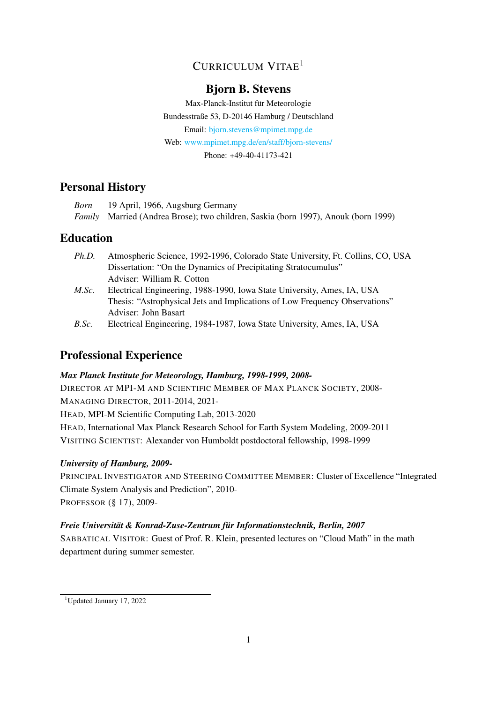# CURRICULUM VITAE<sup>[1](#page-0-0)</sup>

## Bjorn B. Stevens

Max-Planck-Institut für Meteorologie Bundesstraße 53, D-20146 Hamburg / Deutschland Email: [bjorn.stevens@mpimet.mpg.de](mailto:bjorn.stevens@mpimet.mpg.de) Web: [www.mpimet.mpg.de/en/staff/bjorn-stevens/](http://www.mpimet.mpg.de/en/staff/bjorn-stevens/) Phone: +49-40-41173-421

# Personal History

*Born* 19 April, 1966, Augsburg Germany *Family* Married (Andrea Brose); two children, Saskia (born 1997), Anouk (born 1999)

## Education

- *Ph.D.* Atmospheric Science, 1992-1996, Colorado State University, Ft. Collins, CO, USA Dissertation: "On the Dynamics of Precipitating Stratocumulus" Adviser: William R. Cotton
- *M.Sc.* Electrical Engineering, 1988-1990, Iowa State University, Ames, IA, USA Thesis: "Astrophysical Jets and Implications of Low Frequency Observations" Adviser: John Basart
- *B.Sc.* Electrical Engineering, 1984-1987, Iowa State University, Ames, IA, USA

# Professional Experience

### *Max Planck Institute for Meteorology, Hamburg, 1998-1999, 2008-*

DIRECTOR AT MPI-M AND SCIENTIFIC MEMBER OF MAX PLANCK SOCIETY, 2008- MANAGING DIRECTOR, 2011-2014, 2021- HEAD, MPI-M Scientific Computing Lab, 2013-2020 HEAD, International Max Planck Research School for Earth System Modeling, 2009-2011 VISITING SCIENTIST: Alexander von Humboldt postdoctoral fellowship, 1998-1999

### *University of Hamburg, 2009-*

PRINCIPAL INVESTIGATOR AND STEERING COMMITTEE MEMBER: Cluster of Excellence "Integrated Climate System Analysis and Prediction", 2010- PROFESSOR (§ 17), 2009-

### *Freie Universitat & Konrad-Zuse-Zentrum f ¨ ur Informationstechnik, Berlin, 2007 ¨*

SABBATICAL VISITOR: Guest of Prof. R. Klein, presented lectures on "Cloud Math" in the math department during summer semester.

<span id="page-0-0"></span><sup>1</sup>Updated January 17, 2022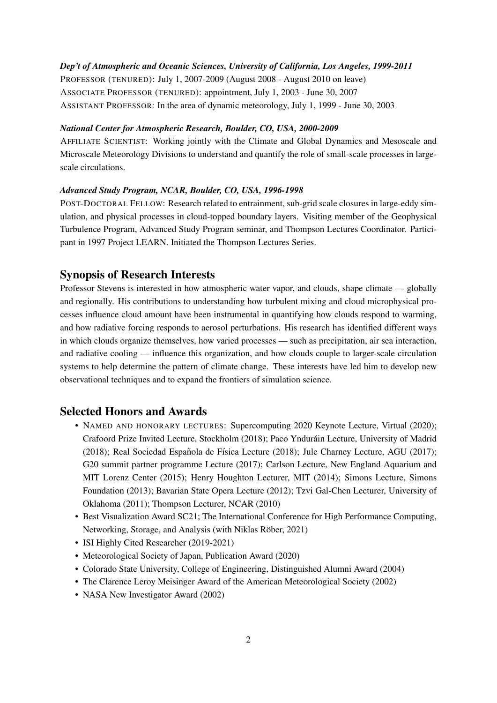#### *Dep't of Atmospheric and Oceanic Sciences, University of California, Los Angeles, 1999-2011*

PROFESSOR (TENURED): July 1, 2007-2009 (August 2008 - August 2010 on leave) ASSOCIATE PROFESSOR (TENURED): appointment, July 1, 2003 - June 30, 2007 ASSISTANT PROFESSOR: In the area of dynamic meteorology, July 1, 1999 - June 30, 2003

#### *National Center for Atmospheric Research, Boulder, CO, USA, 2000-2009*

AFFILIATE SCIENTIST: Working jointly with the Climate and Global Dynamics and Mesoscale and Microscale Meteorology Divisions to understand and quantify the role of small-scale processes in largescale circulations.

#### *Advanced Study Program, NCAR, Boulder, CO, USA, 1996-1998*

POST-DOCTORAL FELLOW: Research related to entrainment, sub-grid scale closures in large-eddy simulation, and physical processes in cloud-topped boundary layers. Visiting member of the Geophysical Turbulence Program, Advanced Study Program seminar, and Thompson Lectures Coordinator. Participant in 1997 Project LEARN. Initiated the Thompson Lectures Series.

### Synopsis of Research Interests

Professor Stevens is interested in how atmospheric water vapor, and clouds, shape climate — globally and regionally. His contributions to understanding how turbulent mixing and cloud microphysical processes influence cloud amount have been instrumental in quantifying how clouds respond to warming, and how radiative forcing responds to aerosol perturbations. His research has identified different ways in which clouds organize themselves, how varied processes — such as precipitation, air sea interaction, and radiative cooling — influence this organization, and how clouds couple to larger-scale circulation systems to help determine the pattern of climate change. These interests have led him to develop new observational techniques and to expand the frontiers of simulation science.

#### Selected Honors and Awards

- NAMED AND HONORARY LECTURES: Supercomputing 2020 Keynote Lecture, Virtual (2020); Crafoord Prize Invited Lecture, Stockholm (2018); Paco Yndurain Lecture, University of Madrid ´  $(2018)$ ; Real Sociedad Española de Física Lecture  $(2018)$ ; Jule Charney Lecture, AGU  $(2017)$ ; G20 summit partner programme Lecture (2017); Carlson Lecture, New England Aquarium and MIT Lorenz Center (2015); Henry Houghton Lecturer, MIT (2014); Simons Lecture, Simons Foundation (2013); Bavarian State Opera Lecture (2012); Tzvi Gal-Chen Lecturer, University of Oklahoma (2011); Thompson Lecturer, NCAR (2010)
- Best Visualization Award SC21; The International Conference for High Performance Computing, Networking, Storage, and Analysis (with Niklas Röber, 2021)
- ISI Highly Cited Researcher (2019-2021)
- Meteorological Society of Japan, Publication Award (2020)
- Colorado State University, College of Engineering, Distinguished Alumni Award (2004)
- The Clarence Leroy Meisinger Award of the American Meteorological Society (2002)
- NASA New Investigator Award (2002)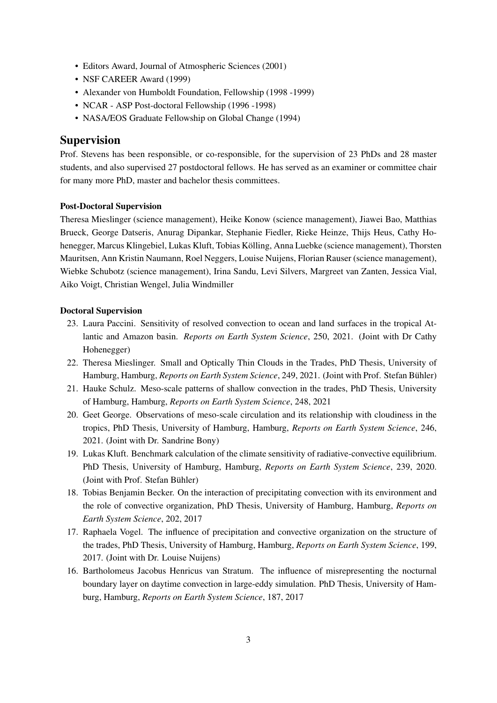- Editors Award, Journal of Atmospheric Sciences (2001)
- NSF CAREER Award (1999)
- Alexander von Humboldt Foundation, Fellowship (1998 -1999)
- NCAR ASP Post-doctoral Fellowship (1996 -1998)
- NASA/EOS Graduate Fellowship on Global Change (1994)

### Supervision

Prof. Stevens has been responsible, or co-responsible, for the supervision of 23 PhDs and 28 master students, and also supervised 27 postdoctoral fellows. He has served as an examiner or committee chair for many more PhD, master and bachelor thesis committees.

#### Post-Doctoral Supervision

Theresa Mieslinger (science management), Heike Konow (science management), Jiawei Bao, Matthias Brueck, George Datseris, Anurag Dipankar, Stephanie Fiedler, Rieke Heinze, Thijs Heus, Cathy Hohenegger, Marcus Klingebiel, Lukas Kluft, Tobias Kölling, Anna Luebke (science management), Thorsten Mauritsen, Ann Kristin Naumann, Roel Neggers, Louise Nuijens, Florian Rauser (science management), Wiebke Schubotz (science management), Irina Sandu, Levi Silvers, Margreet van Zanten, Jessica Vial, Aiko Voigt, Christian Wengel, Julia Windmiller

#### Doctoral Supervision

- 23. Laura Paccini. Sensitivity of resolved convection to ocean and land surfaces in the tropical Atlantic and Amazon basin. *Reports on Earth System Science*, 250, 2021. (Joint with Dr Cathy Hohenegger)
- 22. Theresa Mieslinger. Small and Optically Thin Clouds in the Trades, PhD Thesis, University of Hamburg, Hamburg, *Reports on Earth System Science*, 249, 2021. (Joint with Prof. Stefan Buhler) ¨
- 21. Hauke Schulz. Meso-scale patterns of shallow convection in the trades, PhD Thesis, University of Hamburg, Hamburg, *Reports on Earth System Science*, 248, 2021
- 20. Geet George. Observations of meso-scale circulation and its relationship with cloudiness in the tropics, PhD Thesis, University of Hamburg, Hamburg, *Reports on Earth System Science*, 246, 2021. (Joint with Dr. Sandrine Bony)
- 19. Lukas Kluft. Benchmark calculation of the climate sensitivity of radiative-convective equilibrium. PhD Thesis, University of Hamburg, Hamburg, *Reports on Earth System Science*, 239, 2020. (Joint with Prof. Stefan Bühler)
- 18. Tobias Benjamin Becker. On the interaction of precipitating convection with its environment and the role of convective organization, PhD Thesis, University of Hamburg, Hamburg, *Reports on Earth System Science*, 202, 2017
- 17. Raphaela Vogel. The influence of precipitation and convective organization on the structure of the trades, PhD Thesis, University of Hamburg, Hamburg, *Reports on Earth System Science*, 199, 2017. (Joint with Dr. Louise Nuijens)
- 16. Bartholomeus Jacobus Henricus van Stratum. The influence of misrepresenting the nocturnal boundary layer on daytime convection in large-eddy simulation. PhD Thesis, University of Hamburg, Hamburg, *Reports on Earth System Science*, 187, 2017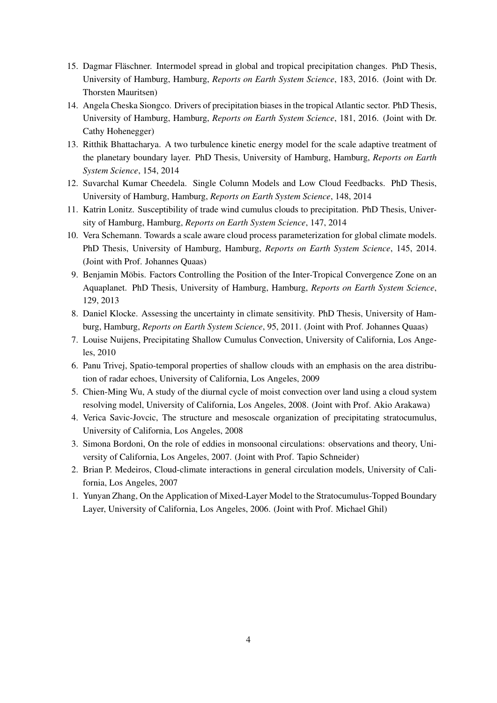- 15. Dagmar Fläschner. Intermodel spread in global and tropical precipitation changes. PhD Thesis, University of Hamburg, Hamburg, *Reports on Earth System Science*, 183, 2016. (Joint with Dr. Thorsten Mauritsen)
- 14. Angela Cheska Siongco. Drivers of precipitation biases in the tropical Atlantic sector. PhD Thesis, University of Hamburg, Hamburg, *Reports on Earth System Science*, 181, 2016. (Joint with Dr. Cathy Hohenegger)
- 13. Ritthik Bhattacharya. A two turbulence kinetic energy model for the scale adaptive treatment of the planetary boundary layer. PhD Thesis, University of Hamburg, Hamburg, *Reports on Earth System Science*, 154, 2014
- 12. Suvarchal Kumar Cheedela. Single Column Models and Low Cloud Feedbacks. PhD Thesis, University of Hamburg, Hamburg, *Reports on Earth System Science*, 148, 2014
- 11. Katrin Lonitz. Susceptibility of trade wind cumulus clouds to precipitation. PhD Thesis, University of Hamburg, Hamburg, *Reports on Earth System Science*, 147, 2014
- 10. Vera Schemann. Towards a scale aware cloud process parameterization for global climate models. PhD Thesis, University of Hamburg, Hamburg, *Reports on Earth System Science*, 145, 2014. (Joint with Prof. Johannes Quaas)
- 9. Benjamin Möbis. Factors Controlling the Position of the Inter-Tropical Convergence Zone on an Aquaplanet. PhD Thesis, University of Hamburg, Hamburg, *Reports on Earth System Science*, 129, 2013
- 8. Daniel Klocke. Assessing the uncertainty in climate sensitivity. PhD Thesis, University of Hamburg, Hamburg, *Reports on Earth System Science*, 95, 2011. (Joint with Prof. Johannes Quaas)
- 7. Louise Nuijens, Precipitating Shallow Cumulus Convection, University of California, Los Angeles, 2010
- 6. Panu Trivej, Spatio-temporal properties of shallow clouds with an emphasis on the area distribution of radar echoes, University of California, Los Angeles, 2009
- 5. Chien-Ming Wu, A study of the diurnal cycle of moist convection over land using a cloud system resolving model, University of California, Los Angeles, 2008. (Joint with Prof. Akio Arakawa)
- 4. Verica Savic-Jovcic, The structure and mesoscale organization of precipitating stratocumulus, University of California, Los Angeles, 2008
- 3. Simona Bordoni, On the role of eddies in monsoonal circulations: observations and theory, University of California, Los Angeles, 2007. (Joint with Prof. Tapio Schneider)
- 2. Brian P. Medeiros, Cloud-climate interactions in general circulation models, University of California, Los Angeles, 2007
- 1. Yunyan Zhang, On the Application of Mixed-Layer Model to the Stratocumulus-Topped Boundary Layer, University of California, Los Angeles, 2006. (Joint with Prof. Michael Ghil)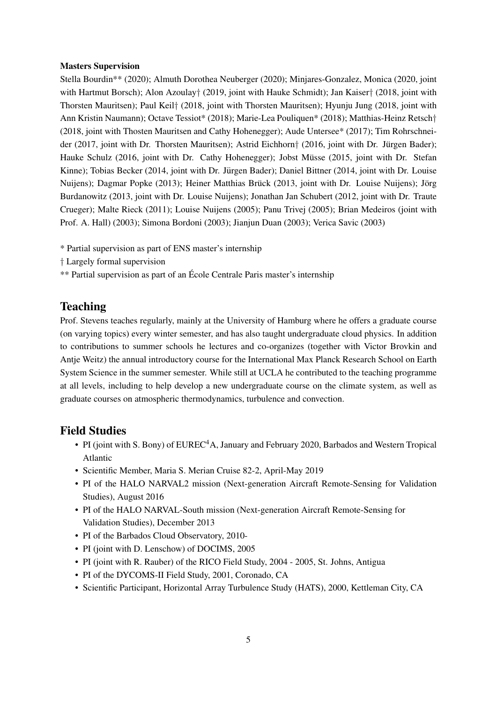#### Masters Supervision

Stella Bourdin\*\* (2020); Almuth Dorothea Neuberger (2020); Minjares-Gonzalez, Monica (2020, joint with Hartmut Borsch); Alon Azoulay† (2019, joint with Hauke Schmidt); Jan Kaiser† (2018, joint with Thorsten Mauritsen); Paul Keil† (2018, joint with Thorsten Mauritsen); Hyunju Jung (2018, joint with Ann Kristin Naumann); Octave Tessiot\* (2018); Marie-Lea Pouliquen\* (2018); Matthias-Heinz Retsch† (2018, joint with Thosten Mauritsen and Cathy Hohenegger); Aude Untersee\* (2017); Tim Rohrschneider (2017, joint with Dr. Thorsten Mauritsen); Astrid Eichhorn† (2016, joint with Dr. Jürgen Bader); Hauke Schulz (2016, joint with Dr. Cathy Hohenegger); Jobst Müsse (2015, joint with Dr. Stefan Kinne); Tobias Becker (2014, joint with Dr. Jürgen Bader); Daniel Bittner (2014, joint with Dr. Louise Nuijens); Dagmar Popke (2013); Heiner Matthias Brück (2013, joint with Dr. Louise Nuijens); Jörg Burdanowitz (2013, joint with Dr. Louise Nuijens); Jonathan Jan Schubert (2012, joint with Dr. Traute Crueger); Malte Rieck (2011); Louise Nuijens (2005); Panu Trivej (2005); Brian Medeiros (joint with Prof. A. Hall) (2003); Simona Bordoni (2003); Jianjun Duan (2003); Verica Savic (2003)

\* Partial supervision as part of ENS master's internship

† Largely formal supervision

\*\* Partial supervision as part of an Ecole Centrale Paris master's internship ´

### Teaching

Prof. Stevens teaches regularly, mainly at the University of Hamburg where he offers a graduate course (on varying topics) every winter semester, and has also taught undergraduate cloud physics. In addition to contributions to summer schools he lectures and co-organizes (together with Victor Brovkin and Antje Weitz) the annual introductory course for the International Max Planck Research School on Earth System Science in the summer semester. While still at UCLA he contributed to the teaching programme at all levels, including to help develop a new undergraduate course on the climate system, as well as graduate courses on atmospheric thermodynamics, turbulence and convection.

### Field Studies

- PI (joint with S. Bony) of EUREC<sup>4</sup>A, January and February 2020, Barbados and Western Tropical Atlantic
- Scientific Member, Maria S. Merian Cruise 82-2, April-May 2019
- PI of the HALO NARVAL2 mission (Next-generation Aircraft Remote-Sensing for Validation Studies), August 2016
- PI of the HALO NARVAL-South mission (Next-generation Aircraft Remote-Sensing for Validation Studies), December 2013
- PI of the Barbados Cloud Observatory, 2010-
- PI (joint with D. Lenschow) of DOCIMS, 2005
- PI (joint with R. Rauber) of the RICO Field Study, 2004 2005, St. Johns, Antigua
- PI of the DYCOMS-II Field Study, 2001, Coronado, CA
- Scientific Participant, Horizontal Array Turbulence Study (HATS), 2000, Kettleman City, CA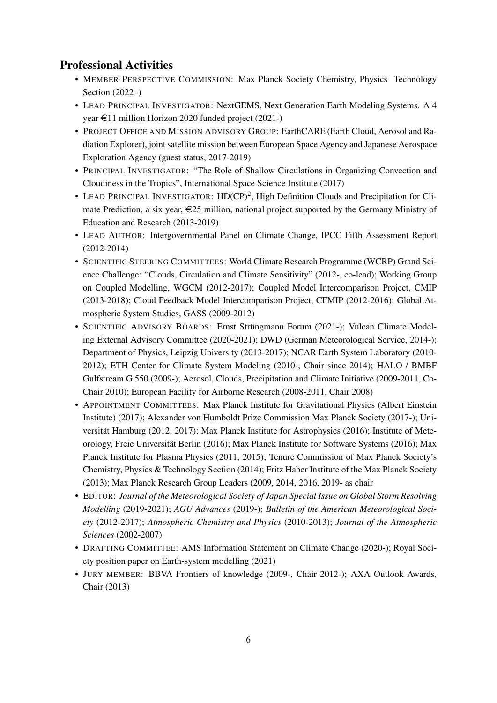## Professional Activities

- MEMBER PERSPECTIVE COMMISSION: Max Planck Society Chemistry, Physics Technology Section (2022–)
- LEAD PRINCIPAL INVESTIGATOR: NextGEMS, Next Generation Earth Modeling Systems. A 4 year  $\in$ 11 million Horizon 2020 funded project (2021-)
- PROJECT OFFICE AND MISSION ADVISORY GROUP: EarthCARE (Earth Cloud, Aerosol and Radiation Explorer), joint satellite mission between European Space Agency and Japanese Aerospace Exploration Agency (guest status, 2017-2019)
- PRINCIPAL INVESTIGATOR: "The Role of Shallow Circulations in Organizing Convection and Cloudiness in the Tropics", International Space Science Institute (2017)
- LEAD PRINCIPAL INVESTIGATOR: HD(CP)<sup>2</sup>, High Definition Clouds and Precipitation for Climate Prediction, a six year,  $\epsilon$ 25 million, national project supported by the Germany Ministry of Education and Research (2013-2019)
- LEAD AUTHOR: Intergovernmental Panel on Climate Change, IPCC Fifth Assessment Report (2012-2014)
- SCIENTIFIC STEERING COMMITTEES: World Climate Research Programme (WCRP) Grand Science Challenge: "Clouds, Circulation and Climate Sensitivity" (2012-, co-lead); Working Group on Coupled Modelling, WGCM (2012-2017); Coupled Model Intercomparison Project, CMIP (2013-2018); Cloud Feedback Model Intercomparison Project, CFMIP (2012-2016); Global Atmospheric System Studies, GASS (2009-2012)
- SCIENTIFIC ADVISORY BOARDS: Ernst Strüngmann Forum (2021-); Vulcan Climate Modeling External Advisory Committee (2020-2021); DWD (German Meteorological Service, 2014-); Department of Physics, Leipzig University (2013-2017); NCAR Earth System Laboratory (2010- 2012); ETH Center for Climate System Modeling (2010-, Chair since 2014); HALO / BMBF Gulfstream G 550 (2009-); Aerosol, Clouds, Precipitation and Climate Initiative (2009-2011, Co-Chair 2010); European Facility for Airborne Research (2008-2011, Chair 2008)
- APPOINTMENT COMMITTEES: Max Planck Institute for Gravitational Physics (Albert Einstein Institute) (2017); Alexander von Humboldt Prize Commission Max Planck Society (2017-); Universität Hamburg (2012, 2017); Max Planck Institute for Astrophysics (2016); Institute of Meteorology, Freie Universitat Berlin (2016); Max Planck Institute for Software Systems (2016); Max ¨ Planck Institute for Plasma Physics (2011, 2015); Tenure Commission of Max Planck Society's Chemistry, Physics & Technology Section (2014); Fritz Haber Institute of the Max Planck Society (2013); Max Planck Research Group Leaders (2009, 2014, 2016, 2019- as chair
- EDITOR: *Journal of the Meteorological Society of Japan Special Issue on Global Storm Resolving Modelling* (2019-2021); *AGU Advances* (2019-); *Bulletin of the American Meteorological Society* (2012-2017); *Atmospheric Chemistry and Physics* (2010-2013); *Journal of the Atmospheric Sciences* (2002-2007)
- DRAFTING COMMITTEE: AMS Information Statement on Climate Change (2020-); Royal Society position paper on Earth-system modelling (2021)
- JURY MEMBER: BBVA Frontiers of knowledge (2009-, Chair 2012-); AXA Outlook Awards, Chair (2013)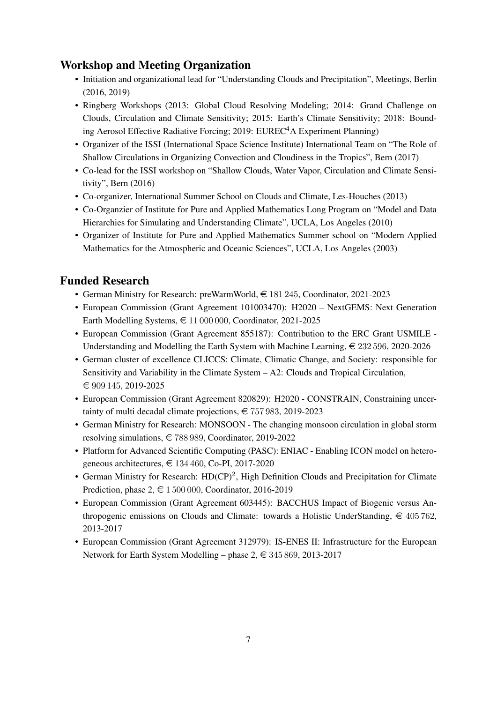## Workshop and Meeting Organization

- Initiation and organizational lead for "Understanding Clouds and Precipitation", Meetings, Berlin (2016, 2019)
- Ringberg Workshops (2013: Global Cloud Resolving Modeling; 2014: Grand Challenge on Clouds, Circulation and Climate Sensitivity; 2015: Earth's Climate Sensitivity; 2018: Bounding Aerosol Effective Radiative Forcing; 2019: EUREC<sup>4</sup>A Experiment Planning)
- Organizer of the ISSI (International Space Science Institute) International Team on "The Role of Shallow Circulations in Organizing Convection and Cloudiness in the Tropics", Bern (2017)
- Co-lead for the ISSI workshop on "Shallow Clouds, Water Vapor, Circulation and Climate Sensitivity", Bern (2016)
- Co-organizer, International Summer School on Clouds and Climate, Les-Houches (2013)
- Co-Organzier of Institute for Pure and Applied Mathematics Long Program on "Model and Data Hierarchies for Simulating and Understanding Climate", UCLA, Los Angeles (2010)
- Organizer of Institute for Pure and Applied Mathematics Summer school on "Modern Applied Mathematics for the Atmospheric and Oceanic Sciences", UCLA, Los Angeles (2003)

# Funded Research

- German Ministry for Research: preWarmWorld,  $\in$  181 245, Coordinator, 2021-2023
- European Commission (Grant Agreement 101003470): H2020 NextGEMS: Next Generation Earth Modelling Systems,  $\in$  11 000 000, Coordinator, 2021-2025
- European Commission (Grant Agreement 855187): Contribution to the ERC Grant USMILE Understanding and Modelling the Earth System with Machine Learning,  $\epsilon$  232 596, 2020-2026
- German cluster of excellence CLICCS: Climate, Climatic Change, and Society: responsible for Sensitivity and Variability in the Climate System – A2: Clouds and Tropical Circulation, € 909 145, 2019-2025
- European Commission (Grant Agreement 820829): H2020 CONSTRAIN, Constraining uncertainty of multi decadal climate projections,  $\epsilon$  757 983, 2019-2023
- German Ministry for Research: MONSOON The changing monsoon circulation in global storm resolving simulations,  $\in$  788 989, Coordinator, 2019-2022
- Platform for Advanced Scientific Computing (PASC): ENIAC Enabling ICON model on heterogeneous architectures,  $\in$  134 460, Co-PI, 2017-2020
- German Ministry for Research:  $HD(CP)^2$ , High Definition Clouds and Precipitation for Climate Prediction, phase  $2, \in 1500000$ , Coordinator, 2016-2019
- European Commission (Grant Agreement 603445): BACCHUS Impact of Biogenic versus Anthropogenic emissions on Clouds and Climate: towards a Holistic UnderStanding,  $\epsilon$  405 762, 2013-2017
- European Commission (Grant Agreement 312979): IS-ENES II: Infrastructure for the European Network for Earth System Modelling – phase  $2, \in \{345, 869, 2013\}$ -2017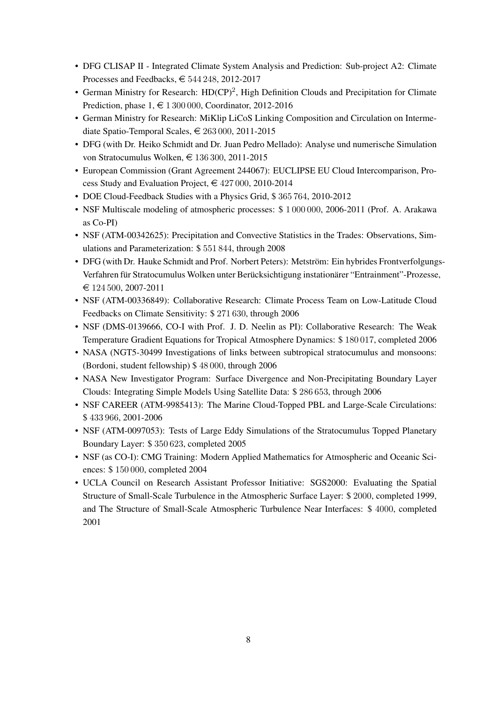- DFG CLISAP II Integrated Climate System Analysis and Prediction: Sub-project A2: Climate Processes and Feedbacks,  $\in$  544 248, 2012-2017
- German Ministry for Research:  $HD(CP)^2$ , High Definition Clouds and Precipitation for Climate Prediction, phase  $1, \text{ } \in 1300000$ , Coordinator, 2012-2016
- German Ministry for Research: MiKlip LiCoS Linking Composition and Circulation on Intermediate Spatio-Temporal Scales,  $\in$  263 000, 2011-2015
- DFG (with Dr. Heiko Schmidt and Dr. Juan Pedro Mellado): Analyse und numerische Simulation von Stratocumulus Wolken,  $\in$  136 300, 2011-2015
- European Commission (Grant Agreement 244067): EUCLIPSE EU Cloud Intercomparison, Process Study and Evaluation Project,  $\in$  427 000, 2010-2014
- DOE Cloud-Feedback Studies with a Physics Grid, \$ 365 764, 2010-2012
- NSF Multiscale modeling of atmospheric processes: \$ 1 000 000, 2006-2011 (Prof. A. Arakawa as Co-PI)
- NSF (ATM-00342625): Precipitation and Convective Statistics in the Trades: Observations, Simulations and Parameterization: \$ 551 844, through 2008
- DFG (with Dr. Hauke Schmidt and Prof. Norbert Peters): Metström: Ein hybrides Frontverfolgungs-Verfahren für Stratocumulus Wolken unter Berücksichtigung instationärer "Entrainment"-Prozesse,  $\text{\textsterling} 124\,500, 2007\text{-}2011$
- NSF (ATM-00336849): Collaborative Research: Climate Process Team on Low-Latitude Cloud Feedbacks on Climate Sensitivity: \$ 271 630, through 2006
- NSF (DMS-0139666, CO-I with Prof. J. D. Neelin as PI): Collaborative Research: The Weak Temperature Gradient Equations for Tropical Atmosphere Dynamics: \$ 180 017, completed 2006
- NASA (NGT5-30499 Investigations of links between subtropical stratocumulus and monsoons: (Bordoni, student fellowship) \$ 48 000, through 2006
- NASA New Investigator Program: Surface Divergence and Non-Precipitating Boundary Layer Clouds: Integrating Simple Models Using Satellite Data: \$ 286 653, through 2006
- NSF CAREER (ATM-9985413): The Marine Cloud-Topped PBL and Large-Scale Circulations: \$ 433 966, 2001-2006
- NSF (ATM-0097053): Tests of Large Eddy Simulations of the Stratocumulus Topped Planetary Boundary Layer: \$ 350 623, completed 2005
- NSF (as CO-I): CMG Training: Modern Applied Mathematics for Atmospheric and Oceanic Sciences: \$ 150 000, completed 2004
- UCLA Council on Research Assistant Professor Initiative: SGS2000: Evaluating the Spatial Structure of Small-Scale Turbulence in the Atmospheric Surface Layer: \$ 2000, completed 1999, and The Structure of Small-Scale Atmospheric Turbulence Near Interfaces: \$ 4000, completed 2001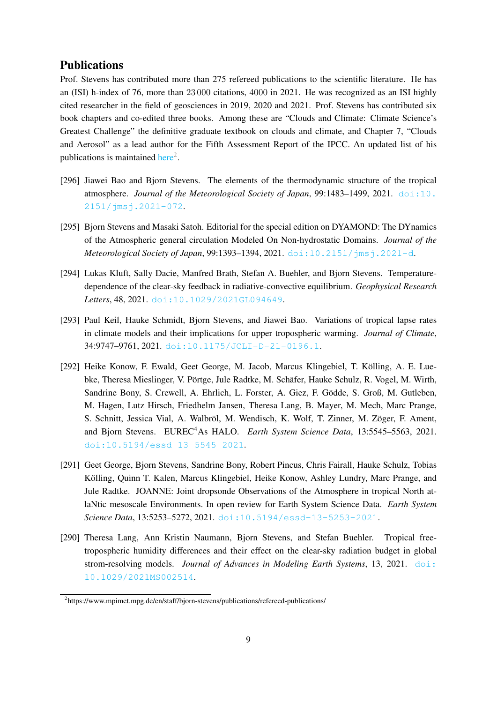### Publications

Prof. Stevens has contributed more than 275 refereed publications to the scientific literature. He has an (ISI) h-index of 76, more than 23 000 citations, 4000 in 2021. He was recognized as an ISI highly cited researcher in the field of geosciences in 2019, 2020 and 2021. Prof. Stevens has contributed six book chapters and co-edited three books. Among these are "Clouds and Climate: Climate Science's Greatest Challenge" the definitive graduate textbook on clouds and climate, and Chapter 7, "Clouds and Aerosol" as a lead author for the Fifth Assessment Report of the IPCC. An updated list of his publications is maintained [here](https://www.mpimet.mpg.de/en/staff/bjorn-stevens/publications/refereed-publications/)<sup>[2](#page-8-0)</sup>.

- [296] Jiawei Bao and Bjorn Stevens. The elements of the thermodynamic structure of the tropical atmosphere. *Journal of the Meteorological Society of Japan*, 99:1483–1499, 2021. [doi:10.](https://doi.org/10.2151/jmsj.2021-072) [2151/jmsj.2021-072](https://doi.org/10.2151/jmsj.2021-072).
- [295] Bjorn Stevens and Masaki Satoh. Editorial for the special edition on DYAMOND: The DYnamics of the Atmospheric general circulation Modeled On Non-hydrostatic Domains. *Journal of the Meteorological Society of Japan*, 99:1393–1394, 2021. [doi:10.2151/jmsj.2021-d](https://doi.org/10.2151/jmsj.2021-d).
- [294] Lukas Kluft, Sally Dacie, Manfred Brath, Stefan A. Buehler, and Bjorn Stevens. Temperaturedependence of the clear-sky feedback in radiative-convective equilibrium. *Geophysical Research Letters*, 48, 2021. [doi:10.1029/2021GL094649](https://doi.org/10.1029/2021GL094649).
- [293] Paul Keil, Hauke Schmidt, Bjorn Stevens, and Jiawei Bao. Variations of tropical lapse rates in climate models and their implications for upper tropospheric warming. *Journal of Climate*, 34:9747–9761, 2021. [doi:10.1175/JCLI-D-21-0196.1](https://doi.org/10.1175/JCLI-D-21-0196.1).
- [292] Heike Konow, F. Ewald, Geet George, M. Jacob, Marcus Klingebiel, T. Kölling, A. E. Luebke, Theresa Mieslinger, V. Pörtge, Jule Radtke, M. Schäfer, Hauke Schulz, R. Vogel, M. Wirth, Sandrine Bony, S. Crewell, A. Ehrlich, L. Forster, A. Giez, F. Godde, S. Groß, M. Gutleben, ¨ M. Hagen, Lutz Hirsch, Friedhelm Jansen, Theresa Lang, B. Mayer, M. Mech, Marc Prange, S. Schnitt, Jessica Vial, A. Walbröl, M. Wendisch, K. Wolf, T. Zinner, M. Zöger, F. Ament, and Bjorn Stevens. EUREC<sup>4</sup>As HALO. *Earth System Science Data*, 13:5545–5563, 2021. [doi:10.5194/essd-13-5545-2021](https://doi.org/10.5194/essd-13-5545-2021).
- [291] Geet George, Bjorn Stevens, Sandrine Bony, Robert Pincus, Chris Fairall, Hauke Schulz, Tobias Kölling, Quinn T. Kalen, Marcus Klingebiel, Heike Konow, Ashley Lundry, Marc Prange, and Jule Radtke. JOANNE: Joint dropsonde Observations of the Atmosphere in tropical North atlaNtic mesoscale Environments. In open review for Earth System Science Data. *Earth System Science Data*, 13:5253–5272, 2021. [doi:10.5194/essd-13-5253-2021](https://doi.org/10.5194/essd-13-5253-2021).
- [290] Theresa Lang, Ann Kristin Naumann, Bjorn Stevens, and Stefan Buehler. Tropical freetropospheric humidity differences and their effect on the clear-sky radiation budget in global strom-resolving models. *Journal of Advances in Modeling Earth Systems*, 13, 2021. [doi:](https://doi.org/10.1029/2021MS002514) [10.1029/2021MS002514](https://doi.org/10.1029/2021MS002514).

<span id="page-8-0"></span><sup>&</sup>lt;sup>2</sup>https://www.mpimet.mpg.de/en/staff/bjorn-stevens/publications/refereed-publications/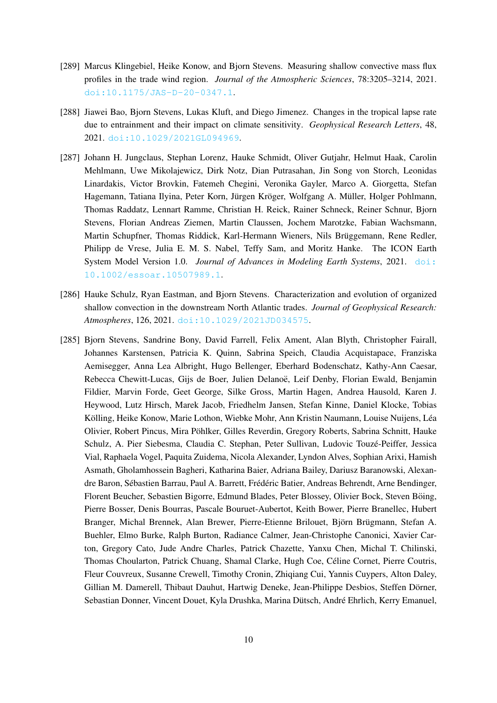- [289] Marcus Klingebiel, Heike Konow, and Bjorn Stevens. Measuring shallow convective mass flux profiles in the trade wind region. *Journal of the Atmospheric Sciences*, 78:3205–3214, 2021. [doi:10.1175/JAS-D-20-0347.1](https://doi.org/10.1175/JAS-D-20-0347.1).
- [288] Jiawei Bao, Bjorn Stevens, Lukas Kluft, and Diego Jimenez. Changes in the tropical lapse rate due to entrainment and their impact on climate sensitivity. *Geophysical Research Letters*, 48, 2021. [doi:10.1029/2021GL094969](https://doi.org/10.1029/2021GL094969).
- [287] Johann H. Jungclaus, Stephan Lorenz, Hauke Schmidt, Oliver Gutjahr, Helmut Haak, Carolin Mehlmann, Uwe Mikolajewicz, Dirk Notz, Dian Putrasahan, Jin Song von Storch, Leonidas Linardakis, Victor Brovkin, Fatemeh Chegini, Veronika Gayler, Marco A. Giorgetta, Stefan Hagemann, Tatiana Ilyina, Peter Korn, Jürgen Kröger, Wolfgang A. Müller, Holger Pohlmann, Thomas Raddatz, Lennart Ramme, Christian H. Reick, Rainer Schneck, Reiner Schnur, Bjorn Stevens, Florian Andreas Ziemen, Martin Claussen, Jochem Marotzke, Fabian Wachsmann, Martin Schupfner, Thomas Riddick, Karl-Hermann Wieners, Nils Brüggemann, Rene Redler, Philipp de Vrese, Julia E. M. S. Nabel, Teffy Sam, and Moritz Hanke. The ICON Earth System Model Version 1.0. *Journal of Advances in Modeling Earth Systems*, 2021. [doi:](https://doi.org/10.1002/essoar.10507989.1) [10.1002/essoar.10507989.1](https://doi.org/10.1002/essoar.10507989.1).
- [286] Hauke Schulz, Ryan Eastman, and Bjorn Stevens. Characterization and evolution of organized shallow convection in the downstream North Atlantic trades. *Journal of Geophysical Research: Atmospheres*, 126, 2021. [doi:10.1029/2021JD034575](https://doi.org/10.1029/2021JD034575).
- [285] Bjorn Stevens, Sandrine Bony, David Farrell, Felix Ament, Alan Blyth, Christopher Fairall, Johannes Karstensen, Patricia K. Quinn, Sabrina Speich, Claudia Acquistapace, Franziska Aemisegger, Anna Lea Albright, Hugo Bellenger, Eberhard Bodenschatz, Kathy-Ann Caesar, Rebecca Chewitt-Lucas, Gijs de Boer, Julien Delanoë, Leif Denby, Florian Ewald, Benjamin Fildier, Marvin Forde, Geet George, Silke Gross, Martin Hagen, Andrea Hausold, Karen J. Heywood, Lutz Hirsch, Marek Jacob, Friedhelm Jansen, Stefan Kinne, Daniel Klocke, Tobias Kölling, Heike Konow, Marie Lothon, Wiebke Mohr, Ann Kristin Naumann, Louise Nuijens, Léa Olivier, Robert Pincus, Mira Pohlker, Gilles Reverdin, Gregory Roberts, Sabrina Schnitt, Hauke ¨ Schulz, A. Pier Siebesma, Claudia C. Stephan, Peter Sullivan, Ludovic Touze-Peiffer, Jessica ´ Vial, Raphaela Vogel, Paquita Zuidema, Nicola Alexander, Lyndon Alves, Sophian Arixi, Hamish Asmath, Gholamhossein Bagheri, Katharina Baier, Adriana Bailey, Dariusz Baranowski, Alexandre Baron, Sébastien Barrau, Paul A. Barrett, Frédéric Batier, Andreas Behrendt, Arne Bendinger, Florent Beucher, Sebastien Bigorre, Edmund Blades, Peter Blossey, Olivier Bock, Steven Böing, Pierre Bosser, Denis Bourras, Pascale Bouruet-Aubertot, Keith Bower, Pierre Branellec, Hubert Branger, Michal Brennek, Alan Brewer, Pierre-Etienne Brilouet, Björn Brügmann, Stefan A. Buehler, Elmo Burke, Ralph Burton, Radiance Calmer, Jean-Christophe Canonici, Xavier Carton, Gregory Cato, Jude Andre Charles, Patrick Chazette, Yanxu Chen, Michal T. Chilinski, Thomas Choularton, Patrick Chuang, Shamal Clarke, Hugh Coe, Céline Cornet, Pierre Coutris, Fleur Couvreux, Susanne Crewell, Timothy Cronin, Zhiqiang Cui, Yannis Cuypers, Alton Daley, Gillian M. Damerell, Thibaut Dauhut, Hartwig Deneke, Jean-Philippe Desbios, Steffen Dorner, ¨ Sebastian Donner, Vincent Douet, Kyla Drushka, Marina Dütsch, André Ehrlich, Kerry Emanuel,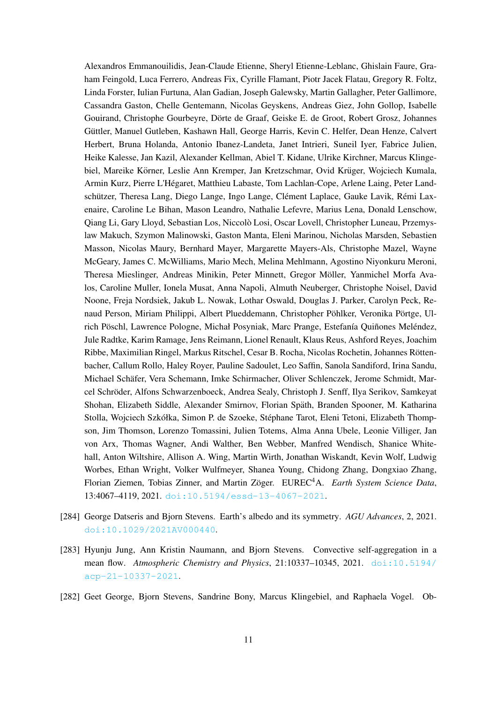Alexandros Emmanouilidis, Jean-Claude Etienne, Sheryl Etienne-Leblanc, Ghislain Faure, Graham Feingold, Luca Ferrero, Andreas Fix, Cyrille Flamant, Piotr Jacek Flatau, Gregory R. Foltz, Linda Forster, Iulian Furtuna, Alan Gadian, Joseph Galewsky, Martin Gallagher, Peter Gallimore, Cassandra Gaston, Chelle Gentemann, Nicolas Geyskens, Andreas Giez, John Gollop, Isabelle Gouirand, Christophe Gourbeyre, Dörte de Graaf, Geiske E. de Groot, Robert Grosz, Johannes Güttler, Manuel Gutleben, Kashawn Hall, George Harris, Kevin C. Helfer, Dean Henze, Calvert Herbert, Bruna Holanda, Antonio Ibanez-Landeta, Janet Intrieri, Suneil Iyer, Fabrice Julien, Heike Kalesse, Jan Kazil, Alexander Kellman, Abiel T. Kidane, Ulrike Kirchner, Marcus Klingebiel, Mareike Körner, Leslie Ann Kremper, Jan Kretzschmar, Ovid Krüger, Wojciech Kumala, Armin Kurz, Pierre L'Hegaret, Matthieu Labaste, Tom Lachlan-Cope, Arlene Laing, Peter Land- ´ schützer, Theresa Lang, Diego Lange, Ingo Lange, Clément Laplace, Gauke Lavik, Rémi Laxenaire, Caroline Le Bihan, Mason Leandro, Nathalie Lefevre, Marius Lena, Donald Lenschow, Qiang Li, Gary Lloyd, Sebastian Los, Niccolo Losi, Oscar Lovell, Christopher Luneau, Przemys- ` law Makuch, Szymon Malinowski, Gaston Manta, Eleni Marinou, Nicholas Marsden, Sebastien Masson, Nicolas Maury, Bernhard Mayer, Margarette Mayers-Als, Christophe Mazel, Wayne McGeary, James C. McWilliams, Mario Mech, Melina Mehlmann, Agostino Niyonkuru Meroni, Theresa Mieslinger, Andreas Minikin, Peter Minnett, Gregor Möller, Yanmichel Morfa Avalos, Caroline Muller, Ionela Musat, Anna Napoli, Almuth Neuberger, Christophe Noisel, David Noone, Freja Nordsiek, Jakub L. Nowak, Lothar Oswald, Douglas J. Parker, Carolyn Peck, Renaud Person, Miriam Philippi, Albert Plueddemann, Christopher Pöhlker, Veronika Pörtge, Ulrich Pöschl, Lawrence Pologne, Michał Posyniak, Marc Prange, Estefanía Quiñones Meléndez, Jule Radtke, Karim Ramage, Jens Reimann, Lionel Renault, Klaus Reus, Ashford Reyes, Joachim Ribbe, Maximilian Ringel, Markus Ritschel, Cesar B. Rocha, Nicolas Rochetin, Johannes Rotten- ¨ bacher, Callum Rollo, Haley Royer, Pauline Sadoulet, Leo Saffin, Sanola Sandiford, Irina Sandu, Michael Schafer, Vera Schemann, Imke Schirmacher, Oliver Schlenczek, Jerome Schmidt, Mar- ¨ cel Schroder, Alfons Schwarzenboeck, Andrea Sealy, Christoph J. Senff, Ilya Serikov, Samkeyat ¨ Shohan, Elizabeth Siddle, Alexander Smirnov, Florian Spath, Branden Spooner, M. Katharina ¨ Stolla, Wojciech Szkółka, Simon P. de Szoeke, Stéphane Tarot, Eleni Tetoni, Elizabeth Thompson, Jim Thomson, Lorenzo Tomassini, Julien Totems, Alma Anna Ubele, Leonie Villiger, Jan von Arx, Thomas Wagner, Andi Walther, Ben Webber, Manfred Wendisch, Shanice Whitehall, Anton Wiltshire, Allison A. Wing, Martin Wirth, Jonathan Wiskandt, Kevin Wolf, Ludwig Worbes, Ethan Wright, Volker Wulfmeyer, Shanea Young, Chidong Zhang, Dongxiao Zhang, Florian Ziemen, Tobias Zinner, and Martin Zöger. EUREC<sup>4</sup>A. Earth System Science Data, 13:4067–4119, 2021. [doi:10.5194/essd-13-4067-2021](https://doi.org/10.5194/essd-13-4067-2021).

- [284] George Datseris and Bjorn Stevens. Earth's albedo and its symmetry. *AGU Advances*, 2, 2021. [doi:10.1029/2021AV000440](https://doi.org/10.1029/2021AV000440).
- [283] Hyunju Jung, Ann Kristin Naumann, and Bjorn Stevens. Convective self-aggregation in a mean flow. *Atmospheric Chemistry and Physics*, 21:10337–10345, 2021. [doi:10.5194/](https://doi.org/10.5194/acp-21-10337-2021) [acp-21-10337-2021](https://doi.org/10.5194/acp-21-10337-2021).
- [282] Geet George, Bjorn Stevens, Sandrine Bony, Marcus Klingebiel, and Raphaela Vogel. Ob-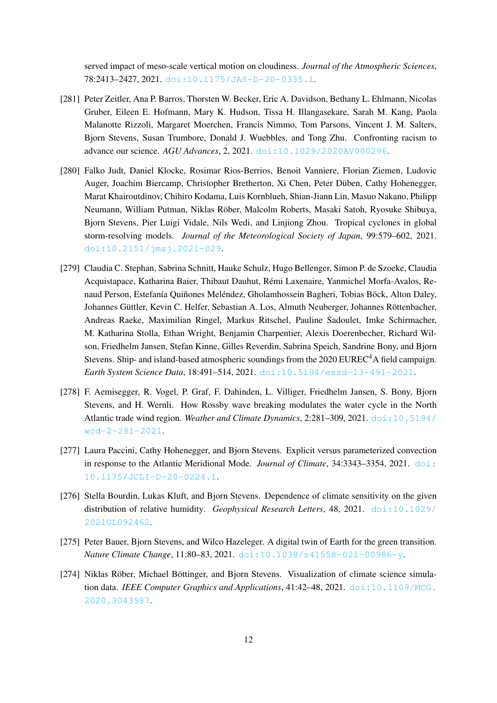served impact of meso-scale vertical motion on cloudiness. *Journal of the Atmospheric Sciences*, 78:2413–2427, 2021. [doi:10.1175/JAS-D-20-0335.1](https://doi.org/10.1175/JAS-D-20-0335.1).

- [281] Peter Zeitler, Ana P. Barros, Thorsten W. Becker, Eric A. Davidson, Bethany L. Ehlmann, Nicolas Gruber, Eileen E. Hofmann, Mary K. Hudson, Tissa H. Illangasekare, Sarah M. Kang, Paola Malanotte Rizzoli, Margaret Moerchen, Francis Nimmo, Tom Parsons, Vincent J. M. Salters, Bjorn Stevens, Susan Trumbore, Donald J. Wuebbles, and Tong Zhu. Confronting racism to advance our science. *AGU Advances*, 2, 2021. [doi:10.1029/2020AV000296](https://doi.org/10.1029/2020AV000296).
- [280] Falko Judt, Daniel Klocke, Rosimar Rios-Berrios, Benoit Vanniere, Florian Ziemen, Ludovic Auger, Joachim Biercamp, Christopher Bretherton, Xi Chen, Peter Duben, Cathy Hohenegger, ¨ Marat Khairoutdinov, Chihiro Kodama, Luis Kornblueh, Shian-Jiann Lin, Masuo Nakano, Philipp Neumann, William Putman, Niklas Rober, Malcolm Roberts, Masaki Satoh, Ryosuke Shibuya, ¨ Bjorn Stevens, Pier Luigi Vidale, Nils Wedi, and Linjiong Zhou. Tropical cyclones in global storm-resolving models. *Journal of the Meteorological Society of Japan*, 99:579–602, 2021. [doi:10.2151/jmsj.2021-029](https://doi.org/10.2151/jmsj.2021-029).
- [279] Claudia C. Stephan, Sabrina Schnitt, Hauke Schulz, Hugo Bellenger, Simon P. de Szoeke, Claudia Acquistapace, Katharina Baier, Thibaut Dauhut, Remi Laxenaire, Yanmichel Morfa-Avalos, Re- ´ naud Person, Estefanía Quiñones Meléndez, Gholamhossein Bagheri, Tobias Böck, Alton Daley, Johannes Güttler, Kevin C. Helfer, Sebastian A. Los, Almuth Neuberger, Johannes Röttenbacher, Andreas Raeke, Maximilian Ringel, Markus Ritschel, Pauline Sadoulet, Imke Schirmacher, M. Katharina Stolla, Ethan Wright, Benjamin Charpentier, Alexis Doerenbecher, Richard Wilson, Friedhelm Jansen, Stefan Kinne, Gilles Reverdin, Sabrina Speich, Sandrine Bony, and Bjorn Stevens. Ship- and island-based atmospheric soundings from the 2020 EUREC<sup>4</sup>A field campaign. *Earth System Science Data*, 18:491–514, 2021. [doi:10.5194/essd-13-491-2021](https://doi.org/10.5194/essd-13-491-2021).
- [278] F. Aemisegger, R. Vogel, P. Graf, F. Dahinden, L. Villiger, Friedhelm Jansen, S. Bony, Bjorn Stevens, and H. Wernli. How Rossby wave breaking modulates the water cycle in the North Atlantic trade wind region. *Weather and Climate Dynamics*, 2:281–309, 2021. [doi:10.5194/](https://doi.org/10.5194/wcd-2-281-2021) [wcd-2-281-2021](https://doi.org/10.5194/wcd-2-281-2021).
- [277] Laura Paccini, Cathy Hohenegger, and Bjorn Stevens. Explicit versus parameterized convection in response to the Atlantic Meridional Mode. *Journal of Climate*, 34:3343–3354, 2021. [doi:](https://doi.org/10.1175/JCLI-D-20-0224.1) [10.1175/JCLI-D-20-0224.1](https://doi.org/10.1175/JCLI-D-20-0224.1).
- [276] Stella Bourdin, Lukas Kluft, and Bjorn Stevens. Dependence of climate sensitivity on the given distribution of relative humidity. *Geophysical Research Letters*, 48, 2021. [doi:10.1029/](https://doi.org/10.1029/2021GL092462) [2021GL092462](https://doi.org/10.1029/2021GL092462).
- [275] Peter Bauer, Bjorn Stevens, and Wilco Hazeleger. A digital twin of Earth for the green transition. *Nature Climate Change*, 11:80–83, 2021. [doi:10.1038/s41558-021-00986-y](https://doi.org/10.1038/s41558-021-00986-y).
- [274] Niklas Röber, Michael Böttinger, and Bjorn Stevens. Visualization of climate science simulation data. *IEEE Computer Graphics and Applications*, 41:42–48, 2021. [doi:10.1109/MCG.](https://doi.org/10.1109/MCG.2020.3043987) [2020.3043987](https://doi.org/10.1109/MCG.2020.3043987).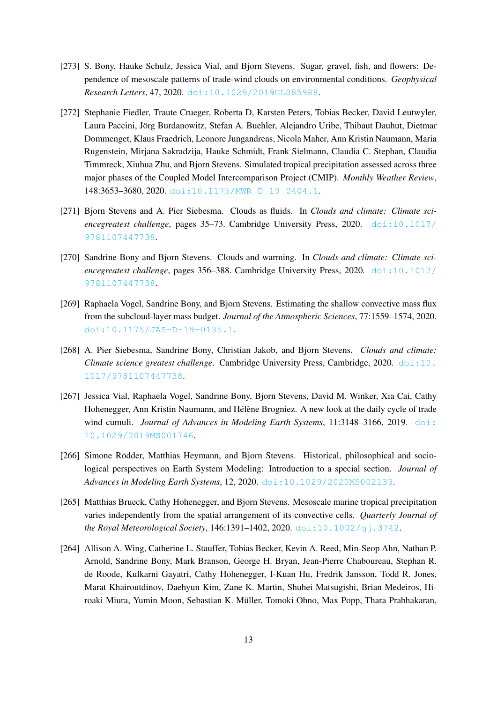- [273] S. Bony, Hauke Schulz, Jessica Vial, and Bjorn Stevens. Sugar, gravel, fish, and flowers: Dependence of mesoscale patterns of trade-wind clouds on environmental conditions. *Geophysical Research Letters*, 47, 2020. [doi:10.1029/2019GL085988](https://doi.org/10.1029/2019GL085988).
- [272] Stephanie Fiedler, Traute Crueger, Roberta D, Karsten Peters, Tobias Becker, David Leutwyler, Laura Paccini, Jörg Burdanowitz, Stefan A. Buehler, Alejandro Uribe, Thibaut Dauhut, Dietmar Dommenget, Klaus Fraedrich, Leonore Jungandreas, Nicola Maher, Ann Kristin Naumann, Maria Rugenstein, Mirjana Sakradzija, Hauke Schmidt, Frank Sielmann, Claudia C. Stephan, Claudia Timmreck, Xiuhua Zhu, and Bjorn Stevens. Simulated tropical precipitation assessed across three major phases of the Coupled Model Intercomparison Project (CMIP). *Monthly Weather Review*, 148:3653–3680, 2020. [doi:10.1175/MWR-D-19-0404.1](https://doi.org/10.1175/MWR-D-19-0404.1).
- [271] Bjorn Stevens and A. Pier Siebesma. Clouds as fluids. In *Clouds and climate: Climate sciencegreatest challenge*, pages 35–73. Cambridge University Press, 2020. [doi:10.1017/](https://doi.org/10.1017/9781107447738) [9781107447738](https://doi.org/10.1017/9781107447738).
- [270] Sandrine Bony and Bjorn Stevens. Clouds and warming. In *Clouds and climate: Climate sciencegreatest challenge*, pages 356–388. Cambridge University Press, 2020. [doi:10.1017/](https://doi.org/10.1017/9781107447738) [9781107447738](https://doi.org/10.1017/9781107447738).
- [269] Raphaela Vogel, Sandrine Bony, and Bjorn Stevens. Estimating the shallow convective mass flux from the subcloud-layer mass budget. *Journal of the Atmospheric Sciences*, 77:1559–1574, 2020. [doi:10.1175/JAS-D-19-0135.1](https://doi.org/10.1175/JAS-D-19-0135.1).
- [268] A. Pier Siebesma, Sandrine Bony, Christian Jakob, and Bjorn Stevens. *Clouds and climate: Climate science greatest challenge*. Cambridge University Press, Cambridge, 2020. [doi:10.](https://doi.org/10.1017/9781107447738) [1017/9781107447738](https://doi.org/10.1017/9781107447738).
- [267] Jessica Vial, Raphaela Vogel, Sandrine Bony, Bjorn Stevens, David M. Winker, Xia Cai, Cathy Hohenegger, Ann Kristin Naumann, and Hélène Brogniez. A new look at the daily cycle of trade wind cumuli. *Journal of Advances in Modeling Earth Systems*, 11:3148–3166, 2019. [doi:](https://doi.org/10.1029/2019MS001746) [10.1029/2019MS001746](https://doi.org/10.1029/2019MS001746).
- [266] Simone Rödder, Matthias Heymann, and Bjorn Stevens. Historical, philosophical and sociological perspectives on Earth System Modeling: Introduction to a special section. *Journal of Advances in Modeling Earth Systems*, 12, 2020. [doi:10.1029/2020MS002139](https://doi.org/10.1029/2020MS002139).
- [265] Matthias Brueck, Cathy Hohenegger, and Bjorn Stevens. Mesoscale marine tropical precipitation varies independently from the spatial arrangement of its convective cells. *Quarterly Journal of the Royal Meteorological Society*, 146:1391–1402, 2020. [doi:10.1002/qj.3742](https://doi.org/10.1002/qj.3742).
- [264] Allison A. Wing, Catherine L. Stauffer, Tobias Becker, Kevin A. Reed, Min-Seop Ahn, Nathan P. Arnold, Sandrine Bony, Mark Branson, George H. Bryan, Jean-Pierre Chaboureau, Stephan R. de Roode, Kulkarni Gayatri, Cathy Hohenegger, I-Kuan Hu, Fredrik Jansson, Todd R. Jones, Marat Khairoutdinov, Daehyun Kim, Zane K. Martin, Shuhei Matsugishi, Brian Medeiros, Hiroaki Miura, Yumin Moon, Sebastian K. Muller, Tomoki Ohno, Max Popp, Thara Prabhakaran, ¨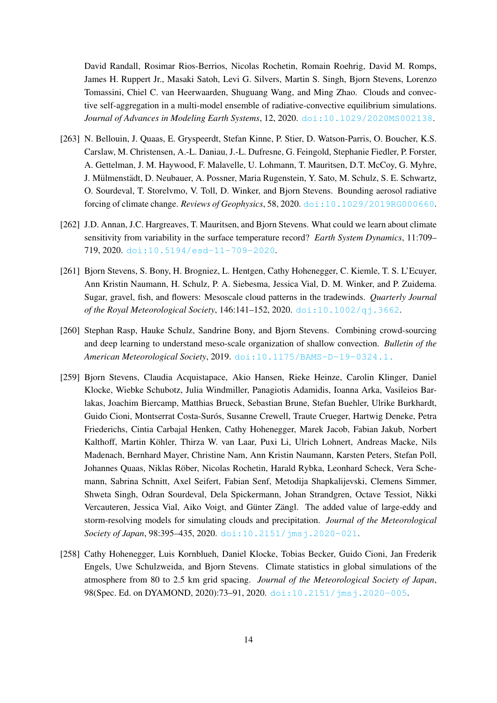David Randall, Rosimar Rios-Berrios, Nicolas Rochetin, Romain Roehrig, David M. Romps, James H. Ruppert Jr., Masaki Satoh, Levi G. Silvers, Martin S. Singh, Bjorn Stevens, Lorenzo Tomassini, Chiel C. van Heerwaarden, Shuguang Wang, and Ming Zhao. Clouds and convective self-aggregation in a multi-model ensemble of radiative-convective equilibrium simulations. *Journal of Advances in Modeling Earth Systems*, 12, 2020. [doi:10.1029/2020MS002138](https://doi.org/10.1029/2020MS002138).

- [263] N. Bellouin, J. Quaas, E. Gryspeerdt, Stefan Kinne, P. Stier, D. Watson-Parris, O. Boucher, K.S. Carslaw, M. Christensen, A.-L. Daniau, J.-L. Dufresne, G. Feingold, Stephanie Fiedler, P. Forster, A. Gettelman, J. M. Haywood, F. Malavelle, U. Lohmann, T. Mauritsen, D.T. McCoy, G. Myhre, J. Mülmenstädt, D. Neubauer, A. Possner, Maria Rugenstein, Y. Sato, M. Schulz, S. E. Schwartz, O. Sourdeval, T. Storelvmo, V. Toll, D. Winker, and Bjorn Stevens. Bounding aerosol radiative forcing of climate change. *Reviews of Geophysics*, 58, 2020. [doi:10.1029/2019RG000660](https://doi.org/10.1029/2019RG000660).
- [262] J.D. Annan, J.C. Hargreaves, T. Mauritsen, and Bjorn Stevens. What could we learn about climate sensitivity from variability in the surface temperature record? *Earth System Dynamics*, 11:709– 719, 2020. [doi:10.5194/esd-11-709-2020](https://doi.org/10.5194/esd-11-709-2020).
- [261] Bjorn Stevens, S. Bony, H. Brogniez, L. Hentgen, Cathy Hohenegger, C. Kiemle, T. S. L'Ecuyer, Ann Kristin Naumann, H. Schulz, P. A. Siebesma, Jessica Vial, D. M. Winker, and P. Zuidema. Sugar, gravel, fish, and flowers: Mesoscale cloud patterns in the tradewinds. *Quarterly Journal of the Royal Meteorological Society*, 146:141–152, 2020. [doi:10.1002/qj.3662](https://doi.org/10.1002/qj.3662).
- [260] Stephan Rasp, Hauke Schulz, Sandrine Bony, and Bjorn Stevens. Combining crowd-sourcing and deep learning to understand meso-scale organization of shallow convection. *Bulletin of the American Meteorological Society*, 2019. [doi:10.1175/BAMS-D-19-0324.1.](https://doi.org/10.1175/BAMS-D-19-0324.1.)
- [259] Bjorn Stevens, Claudia Acquistapace, Akio Hansen, Rieke Heinze, Carolin Klinger, Daniel Klocke, Wiebke Schubotz, Julia Windmiller, Panagiotis Adamidis, Ioanna Arka, Vasileios Barlakas, Joachim Biercamp, Matthias Brueck, Sebastian Brune, Stefan Buehler, Ulrike Burkhardt, Guido Cioni, Montserrat Costa-Surós, Susanne Crewell, Traute Crueger, Hartwig Deneke, Petra Friederichs, Cintia Carbajal Henken, Cathy Hohenegger, Marek Jacob, Fabian Jakub, Norbert Kalthoff, Martin Köhler, Thirza W. van Laar, Puxi Li, Ulrich Lohnert, Andreas Macke, Nils Madenach, Bernhard Mayer, Christine Nam, Ann Kristin Naumann, Karsten Peters, Stefan Poll, Johannes Quaas, Niklas Rober, Nicolas Rochetin, Harald Rybka, Leonhard Scheck, Vera Sche- ¨ mann, Sabrina Schnitt, Axel Seifert, Fabian Senf, Metodija Shapkalijevski, Clemens Simmer, Shweta Singh, Odran Sourdeval, Dela Spickermann, Johan Strandgren, Octave Tessiot, Nikki Vercauteren, Jessica Vial, Aiko Voigt, and Günter Zängl. The added value of large-eddy and storm-resolving models for simulating clouds and precipitation. *Journal of the Meteorological Society of Japan*, 98:395–435, 2020. [doi:10.2151/jmsj.2020-021](https://doi.org/10.2151/jmsj.2020-021).
- [258] Cathy Hohenegger, Luis Kornblueh, Daniel Klocke, Tobias Becker, Guido Cioni, Jan Frederik Engels, Uwe Schulzweida, and Bjorn Stevens. Climate statistics in global simulations of the atmosphere from 80 to 2.5 km grid spacing. *Journal of the Meteorological Society of Japan*, 98(Spec. Ed. on DYAMOND, 2020):73-91, 2020. [doi:10.2151/jmsj.2020-005](https://doi.org/10.2151/jmsj.2020-005).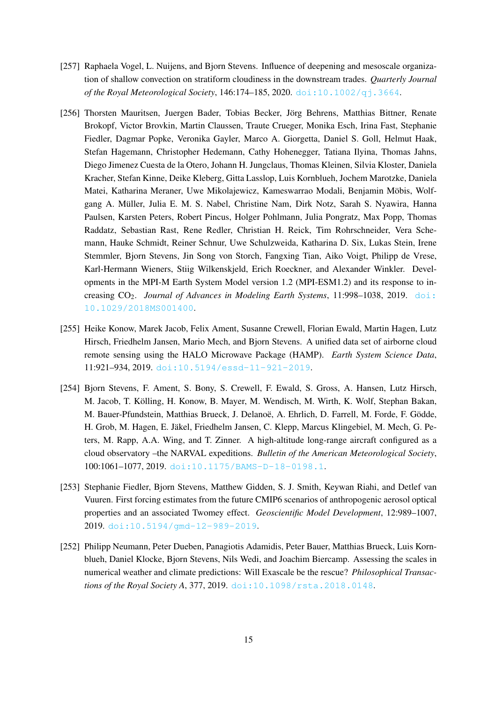- [257] Raphaela Vogel, L. Nuijens, and Bjorn Stevens. Influence of deepening and mesoscale organization of shallow convection on stratiform cloudiness in the downstream trades. *Quarterly Journal of the Royal Meteorological Society*, 146:174–185, 2020. [doi:10.1002/qj.3664](https://doi.org/10.1002/qj.3664).
- [256] Thorsten Mauritsen, Juergen Bader, Tobias Becker, Jörg Behrens, Matthias Bittner, Renate Brokopf, Victor Brovkin, Martin Claussen, Traute Crueger, Monika Esch, Irina Fast, Stephanie Fiedler, Dagmar Popke, Veronika Gayler, Marco A. Giorgetta, Daniel S. Goll, Helmut Haak, Stefan Hagemann, Christopher Hedemann, Cathy Hohenegger, Tatiana Ilyina, Thomas Jahns, Diego Jimenez Cuesta de la Otero, Johann H. Jungclaus, Thomas Kleinen, Silvia Kloster, Daniela Kracher, Stefan Kinne, Deike Kleberg, Gitta Lasslop, Luis Kornblueh, Jochem Marotzke, Daniela Matei, Katharina Meraner, Uwe Mikolajewicz, Kameswarrao Modali, Benjamin Möbis, Wolfgang A. Muller, Julia E. M. S. Nabel, Christine Nam, Dirk Notz, Sarah S. Nyawira, Hanna ¨ Paulsen, Karsten Peters, Robert Pincus, Holger Pohlmann, Julia Pongratz, Max Popp, Thomas Raddatz, Sebastian Rast, Rene Redler, Christian H. Reick, Tim Rohrschneider, Vera Schemann, Hauke Schmidt, Reiner Schnur, Uwe Schulzweida, Katharina D. Six, Lukas Stein, Irene Stemmler, Bjorn Stevens, Jin Song von Storch, Fangxing Tian, Aiko Voigt, Philipp de Vrese, Karl-Hermann Wieners, Stiig Wilkenskjeld, Erich Roeckner, and Alexander Winkler. Developments in the MPI-M Earth System Model version 1.2 (MPI-ESM1.2) and its response to increasing  $CO<sub>2</sub>$ . *Journal of Advances in Modeling Earth Systems*, 11:998–1038, 2019. [doi:](https://doi.org/10.1029/2018MS001400) [10.1029/2018MS001400](https://doi.org/10.1029/2018MS001400).
- [255] Heike Konow, Marek Jacob, Felix Ament, Susanne Crewell, Florian Ewald, Martin Hagen, Lutz Hirsch, Friedhelm Jansen, Mario Mech, and Bjorn Stevens. A unified data set of airborne cloud remote sensing using the HALO Microwave Package (HAMP). *Earth System Science Data*, 11:921–934, 2019. [doi:10.5194/essd-11-921-2019](https://doi.org/10.5194/essd-11-921-2019).
- [254] Bjorn Stevens, F. Ament, S. Bony, S. Crewell, F. Ewald, S. Gross, A. Hansen, Lutz Hirsch, M. Jacob, T. Kolling, H. Konow, B. Mayer, M. Wendisch, M. Wirth, K. Wolf, Stephan Bakan, ¨ M. Bauer-Pfundstein, Matthias Brueck, J. Delanoë, A. Ehrlich, D. Farrell, M. Forde, F. Gödde, H. Grob, M. Hagen, E. Jakel, Friedhelm Jansen, C. Klepp, Marcus Klingebiel, M. Mech, G. Pe- ¨ ters, M. Rapp, A.A. Wing, and T. Zinner. A high-altitude long-range aircraft configured as a cloud observatory –the NARVAL expeditions. *Bulletin of the American Meteorological Society*, 100:1061–1077, 2019. [doi:10.1175/BAMS-D-18-0198.1](https://doi.org/10.1175/BAMS-D-18-0198.1).
- [253] Stephanie Fiedler, Bjorn Stevens, Matthew Gidden, S. J. Smith, Keywan Riahi, and Detlef van Vuuren. First forcing estimates from the future CMIP6 scenarios of anthropogenic aerosol optical properties and an associated Twomey effect. *Geoscientific Model Development*, 12:989–1007, 2019. [doi:10.5194/gmd-12-989-2019](https://doi.org/10.5194/gmd-12-989-2019).
- [252] Philipp Neumann, Peter Dueben, Panagiotis Adamidis, Peter Bauer, Matthias Brueck, Luis Kornblueh, Daniel Klocke, Bjorn Stevens, Nils Wedi, and Joachim Biercamp. Assessing the scales in numerical weather and climate predictions: Will Exascale be the rescue? *Philosophical Transactions of the Royal Society A*, 377, 2019. [doi:10.1098/rsta.2018.0148](https://doi.org/10.1098/rsta.2018.0148).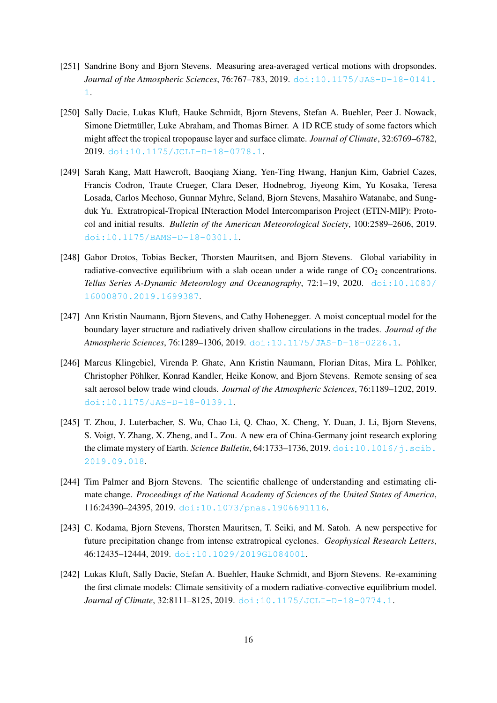- [251] Sandrine Bony and Bjorn Stevens. Measuring area-averaged vertical motions with dropsondes. *Journal of the Atmospheric Sciences*, 76:767–783, 2019. [doi:10.1175/JAS-D-18-0141.](https://doi.org/10.1175/JAS-D-18-0141.1) [1](https://doi.org/10.1175/JAS-D-18-0141.1).
- [250] Sally Dacie, Lukas Kluft, Hauke Schmidt, Bjorn Stevens, Stefan A. Buehler, Peer J. Nowack, Simone Dietmüller, Luke Abraham, and Thomas Birner. A 1D RCE study of some factors which might affect the tropical tropopause layer and surface climate. *Journal of Climate*, 32:6769–6782, 2019. [doi:10.1175/JCLI-D-18-0778.1](https://doi.org/10.1175/JCLI-D-18-0778.1).
- [249] Sarah Kang, Matt Hawcroft, Baoqiang Xiang, Yen-Ting Hwang, Hanjun Kim, Gabriel Cazes, Francis Codron, Traute Crueger, Clara Deser, Hodnebrog, Jiyeong Kim, Yu Kosaka, Teresa Losada, Carlos Mechoso, Gunnar Myhre, Seland, Bjorn Stevens, Masahiro Watanabe, and Sungduk Yu. Extratropical-Tropical INteraction Model Intercomparison Project (ETIN-MIP): Protocol and initial results. *Bulletin of the American Meteorological Society*, 100:2589–2606, 2019. [doi:10.1175/BAMS-D-18-0301.1](https://doi.org/10.1175/BAMS-D-18-0301.1).
- [248] Gabor Drotos, Tobias Becker, Thorsten Mauritsen, and Bjorn Stevens. Global variability in radiative-convective equilibrium with a slab ocean under a wide range of  $CO<sub>2</sub>$  concentrations. *Tellus Series A-Dynamic Meteorology and Oceanography*, 72:1–19, 2020. [doi:10.1080/](https://doi.org/10.1080/16000870.2019.1699387) [16000870.2019.1699387](https://doi.org/10.1080/16000870.2019.1699387).
- [247] Ann Kristin Naumann, Bjorn Stevens, and Cathy Hohenegger. A moist conceptual model for the boundary layer structure and radiatively driven shallow circulations in the trades. *Journal of the Atmospheric Sciences*, 76:1289–1306, 2019. [doi:10.1175/JAS-D-18-0226.1](https://doi.org/10.1175/JAS-D-18-0226.1).
- [246] Marcus Klingebiel, Virenda P. Ghate, Ann Kristin Naumann, Florian Ditas, Mira L. Pöhlker, Christopher Pohlker, Konrad Kandler, Heike Konow, and Bjorn Stevens. Remote sensing of sea ¨ salt aerosol below trade wind clouds. *Journal of the Atmospheric Sciences*, 76:1189–1202, 2019. [doi:10.1175/JAS-D-18-0139.1](https://doi.org/10.1175/JAS-D-18-0139.1).
- [245] T. Zhou, J. Luterbacher, S. Wu, Chao Li, Q. Chao, X. Cheng, Y. Duan, J. Li, Bjorn Stevens, S. Voigt, Y. Zhang, X. Zheng, and L. Zou. A new era of China-Germany joint research exploring the climate mystery of Earth. *Science Bulletin*, 64:1733–1736, 2019. [doi:10.1016/j.scib.](https://doi.org/10.1016/j.scib.2019.09.018) [2019.09.018](https://doi.org/10.1016/j.scib.2019.09.018).
- [244] Tim Palmer and Bjorn Stevens. The scientific challenge of understanding and estimating climate change. *Proceedings of the National Academy of Sciences of the United States of America*, 116:24390–24395, 2019. [doi:10.1073/pnas.1906691116](https://doi.org/10.1073/pnas.1906691116).
- [243] C. Kodama, Bjorn Stevens, Thorsten Mauritsen, T. Seiki, and M. Satoh. A new perspective for future precipitation change from intense extratropical cyclones. *Geophysical Research Letters*, 46:12435–12444, 2019. [doi:10.1029/2019GL084001](https://doi.org/10.1029/2019GL084001).
- [242] Lukas Kluft, Sally Dacie, Stefan A. Buehler, Hauke Schmidt, and Bjorn Stevens. Re-examining the first climate models: Climate sensitivity of a modern radiative-convective equilibrium model. *Journal of Climate*, 32:8111–8125, 2019. [doi:10.1175/JCLI-D-18-0774.1](https://doi.org/10.1175/JCLI-D-18-0774.1).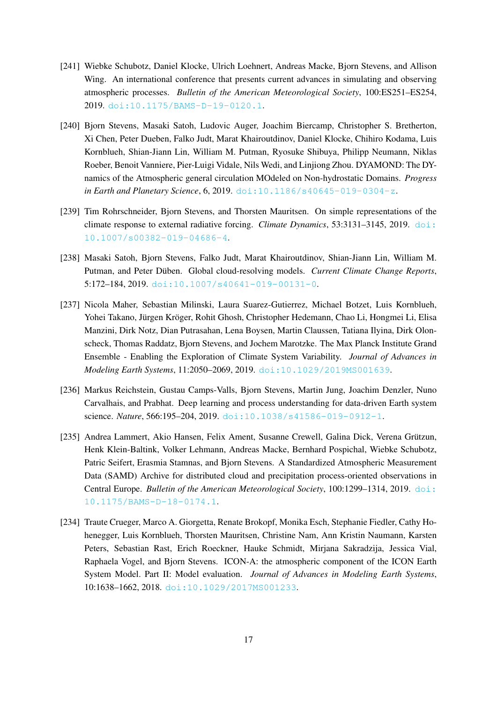- [241] Wiebke Schubotz, Daniel Klocke, Ulrich Loehnert, Andreas Macke, Bjorn Stevens, and Allison Wing. An international conference that presents current advances in simulating and observing atmospheric processes. *Bulletin of the American Meteorological Society*, 100:ES251–ES254, 2019. [doi:10.1175/BAMS-D-19-0120.1](https://doi.org/10.1175/BAMS-D-19-0120.1).
- [240] Bjorn Stevens, Masaki Satoh, Ludovic Auger, Joachim Biercamp, Christopher S. Bretherton, Xi Chen, Peter Dueben, Falko Judt, Marat Khairoutdinov, Daniel Klocke, Chihiro Kodama, Luis Kornblueh, Shian-Jiann Lin, William M. Putman, Ryosuke Shibuya, Philipp Neumann, Niklas Roeber, Benoit Vanniere, Pier-Luigi Vidale, Nils Wedi, and Linjiong Zhou. DYAMOND: The DYnamics of the Atmospheric general circulation MOdeled on Non-hydrostatic Domains. *Progress in Earth and Planetary Science*, 6, 2019. [doi:10.1186/s40645-019-0304-z](https://doi.org/10.1186/s40645-019-0304-z).
- [239] Tim Rohrschneider, Bjorn Stevens, and Thorsten Mauritsen. On simple representations of the climate response to external radiative forcing. *Climate Dynamics*, 53:3131–3145, 2019. [doi:](https://doi.org/10.1007/s00382-019-04686-4) [10.1007/s00382-019-04686-4](https://doi.org/10.1007/s00382-019-04686-4).
- [238] Masaki Satoh, Bjorn Stevens, Falko Judt, Marat Khairoutdinov, Shian-Jiann Lin, William M. Putman, and Peter Düben. Global cloud-resolving models. *Current Climate Change Reports*, 5:172–184, 2019. [doi:10.1007/s40641-019-00131-0](https://doi.org/10.1007/s40641-019-00131-0).
- [237] Nicola Maher, Sebastian Milinski, Laura Suarez-Gutierrez, Michael Botzet, Luis Kornblueh, Yohei Takano, Jürgen Kröger, Rohit Ghosh, Christopher Hedemann, Chao Li, Hongmei Li, Elisa Manzini, Dirk Notz, Dian Putrasahan, Lena Boysen, Martin Claussen, Tatiana Ilyina, Dirk Olonscheck, Thomas Raddatz, Bjorn Stevens, and Jochem Marotzke. The Max Planck Institute Grand Ensemble - Enabling the Exploration of Climate System Variability. *Journal of Advances in Modeling Earth Systems*, 11:2050–2069, 2019. [doi:10.1029/2019MS001639](https://doi.org/10.1029/2019MS001639).
- [236] Markus Reichstein, Gustau Camps-Valls, Bjorn Stevens, Martin Jung, Joachim Denzler, Nuno Carvalhais, and Prabhat. Deep learning and process understanding for data-driven Earth system science. *Nature*, 566:195–204, 2019. [doi:10.1038/s41586-019-0912-1](https://doi.org/10.1038/s41586-019-0912-1).
- [235] Andrea Lammert, Akio Hansen, Felix Ament, Susanne Crewell, Galina Dick, Verena Grützun, Henk Klein-Baltink, Volker Lehmann, Andreas Macke, Bernhard Pospichal, Wiebke Schubotz, Patric Seifert, Erasmia Stamnas, and Bjorn Stevens. A Standardized Atmospheric Measurement Data (SAMD) Archive for distributed cloud and precipitation process-oriented observations in Central Europe. *Bulletin of the American Meteorological Society*, 100:1299–1314, 2019. [doi:](https://doi.org/10.1175/BAMS-D-18-0174.1) [10.1175/BAMS-D-18-0174.1](https://doi.org/10.1175/BAMS-D-18-0174.1).
- [234] Traute Crueger, Marco A. Giorgetta, Renate Brokopf, Monika Esch, Stephanie Fiedler, Cathy Hohenegger, Luis Kornblueh, Thorsten Mauritsen, Christine Nam, Ann Kristin Naumann, Karsten Peters, Sebastian Rast, Erich Roeckner, Hauke Schmidt, Mirjana Sakradzija, Jessica Vial, Raphaela Vogel, and Bjorn Stevens. ICON-A: the atmospheric component of the ICON Earth System Model. Part II: Model evaluation. *Journal of Advances in Modeling Earth Systems*, 10:1638–1662, 2018. [doi:10.1029/2017MS001233](https://doi.org/10.1029/2017MS001233).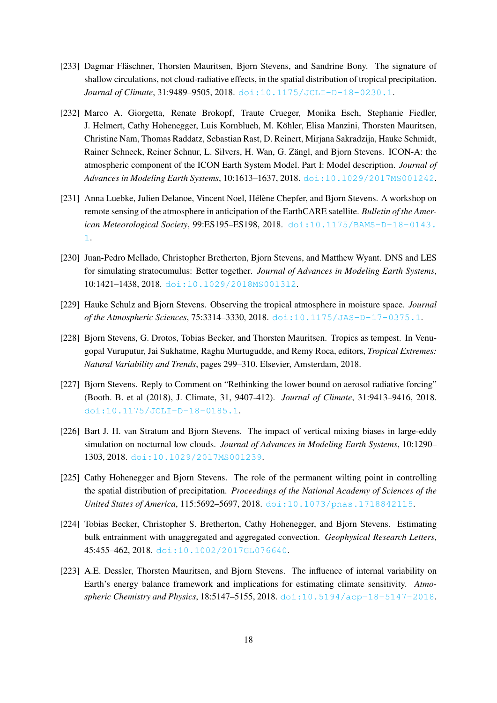- [233] Dagmar Fläschner, Thorsten Mauritsen, Bjorn Stevens, and Sandrine Bony. The signature of shallow circulations, not cloud-radiative effects, in the spatial distribution of tropical precipitation. *Journal of Climate*, 31:9489–9505, 2018. [doi:10.1175/JCLI-D-18-0230.1](https://doi.org/10.1175/JCLI-D-18-0230.1).
- [232] Marco A. Giorgetta, Renate Brokopf, Traute Crueger, Monika Esch, Stephanie Fiedler, J. Helmert, Cathy Hohenegger, Luis Kornblueh, M. Kohler, Elisa Manzini, Thorsten Mauritsen, ¨ Christine Nam, Thomas Raddatz, Sebastian Rast, D. Reinert, Mirjana Sakradzija, Hauke Schmidt, Rainer Schneck, Reiner Schnur, L. Silvers, H. Wan, G. Zängl, and Bjorn Stevens. ICON-A: the atmospheric component of the ICON Earth System Model. Part I: Model description. *Journal of Advances in Modeling Earth Systems*, 10:1613–1637, 2018. [doi:10.1029/2017MS001242](https://doi.org/10.1029/2017MS001242).
- [231] Anna Luebke, Julien Delanoe, Vincent Noel, Hélène Chepfer, and Bjorn Stevens. A workshop on remote sensing of the atmosphere in anticipation of the EarthCARE satellite. *Bulletin of the American Meteorological Society*, 99:ES195–ES198, 2018. [doi:10.1175/BAMS-D-18-0143.](https://doi.org/10.1175/BAMS-D-18-0143.1) [1](https://doi.org/10.1175/BAMS-D-18-0143.1).
- [230] Juan-Pedro Mellado, Christopher Bretherton, Bjorn Stevens, and Matthew Wyant. DNS and LES for simulating stratocumulus: Better together. *Journal of Advances in Modeling Earth Systems*, 10:1421–1438, 2018. [doi:10.1029/2018MS001312](https://doi.org/10.1029/2018MS001312).
- [229] Hauke Schulz and Bjorn Stevens. Observing the tropical atmosphere in moisture space. *Journal of the Atmospheric Sciences*, 75:3314–3330, 2018. [doi:10.1175/JAS-D-17-0375.1](https://doi.org/10.1175/JAS-D-17-0375.1).
- [228] Bjorn Stevens, G. Drotos, Tobias Becker, and Thorsten Mauritsen. Tropics as tempest. In Venugopal Vuruputur, Jai Sukhatme, Raghu Murtugudde, and Remy Roca, editors, *Tropical Extremes: Natural Variability and Trends*, pages 299–310. Elsevier, Amsterdam, 2018.
- [227] Bjorn Stevens. Reply to Comment on "Rethinking the lower bound on aerosol radiative forcing" (Booth. B. et al (2018), J. Climate, 31, 9407-412). *Journal of Climate*, 31:9413–9416, 2018. [doi:10.1175/JCLI-D-18-0185.1](https://doi.org/10.1175/JCLI-D-18-0185.1).
- [226] Bart J. H. van Stratum and Bjorn Stevens. The impact of vertical mixing biases in large-eddy simulation on nocturnal low clouds. *Journal of Advances in Modeling Earth Systems*, 10:1290– 1303, 2018. [doi:10.1029/2017MS001239](https://doi.org/10.1029/2017MS001239).
- [225] Cathy Hohenegger and Bjorn Stevens. The role of the permanent wilting point in controlling the spatial distribution of precipitation. *Proceedings of the National Academy of Sciences of the United States of America*, 115:5692–5697, 2018. [doi:10.1073/pnas.1718842115](https://doi.org/10.1073/pnas.1718842115).
- [224] Tobias Becker, Christopher S. Bretherton, Cathy Hohenegger, and Bjorn Stevens. Estimating bulk entrainment with unaggregated and aggregated convection. *Geophysical Research Letters*, 45:455–462, 2018. [doi:10.1002/2017GL076640](https://doi.org/10.1002/2017GL076640).
- [223] A.E. Dessler, Thorsten Mauritsen, and Bjorn Stevens. The influence of internal variability on Earth's energy balance framework and implications for estimating climate sensitivity. *Atmospheric Chemistry and Physics*, 18:5147–5155, 2018. [doi:10.5194/acp-18-5147-2018](https://doi.org/10.5194/acp-18-5147-2018).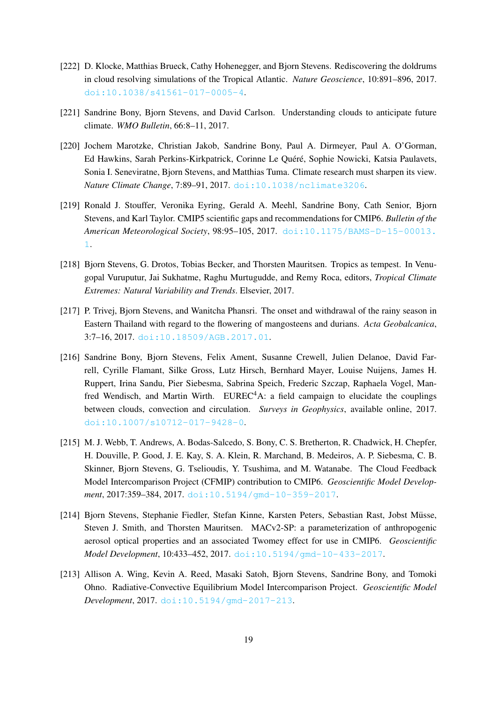- [222] D. Klocke, Matthias Brueck, Cathy Hohenegger, and Bjorn Stevens. Rediscovering the doldrums in cloud resolving simulations of the Tropical Atlantic. *Nature Geoscience*, 10:891–896, 2017. [doi:10.1038/s41561-017-0005-4](https://doi.org/10.1038/s41561-017-0005-4).
- [221] Sandrine Bony, Bjorn Stevens, and David Carlson. Understanding clouds to anticipate future climate. *WMO Bulletin*, 66:8–11, 2017.
- [220] Jochem Marotzke, Christian Jakob, Sandrine Bony, Paul A. Dirmeyer, Paul A. O'Gorman, Ed Hawkins, Sarah Perkins-Kirkpatrick, Corinne Le Quéré, Sophie Nowicki, Katsia Paulavets, Sonia I. Seneviratne, Bjorn Stevens, and Matthias Tuma. Climate research must sharpen its view. *Nature Climate Change*, 7:89–91, 2017. [doi:10.1038/nclimate3206](https://doi.org/10.1038/nclimate3206).
- [219] Ronald J. Stouffer, Veronika Eyring, Gerald A. Meehl, Sandrine Bony, Cath Senior, Bjorn Stevens, and Karl Taylor. CMIP5 scientific gaps and recommendations for CMIP6. *Bulletin of the American Meteorological Society*, 98:95–105, 2017. [doi:10.1175/BAMS-D-15-00013.](https://doi.org/10.1175/BAMS-D-15-00013.1) [1](https://doi.org/10.1175/BAMS-D-15-00013.1).
- [218] Bjorn Stevens, G. Drotos, Tobias Becker, and Thorsten Mauritsen. Tropics as tempest. In Venugopal Vuruputur, Jai Sukhatme, Raghu Murtugudde, and Remy Roca, editors, *Tropical Climate Extremes: Natural Variability and Trends*. Elsevier, 2017.
- [217] P. Trivej, Bjorn Stevens, and Wanitcha Phansri. The onset and withdrawal of the rainy season in Eastern Thailand with regard to the flowering of mangosteens and durians. *Acta Geobalcanica*, 3:7–16, 2017. [doi:10.18509/AGB.2017.01](https://doi.org/10.18509/AGB.2017.01).
- [216] Sandrine Bony, Bjorn Stevens, Felix Ament, Susanne Crewell, Julien Delanoe, David Farrell, Cyrille Flamant, Silke Gross, Lutz Hirsch, Bernhard Mayer, Louise Nuijens, James H. Ruppert, Irina Sandu, Pier Siebesma, Sabrina Speich, Frederic Szczap, Raphaela Vogel, Manfred Wendisch, and Martin Wirth.  $EUREC<sup>4</sup>A$ : a field campaign to elucidate the couplings between clouds, convection and circulation. *Surveys in Geophysics*, available online, 2017. [doi:10.1007/s10712-017-9428-0](https://doi.org/10.1007/s10712-017-9428-0).
- [215] M. J. Webb, T. Andrews, A. Bodas-Salcedo, S. Bony, C. S. Bretherton, R. Chadwick, H. Chepfer, H. Douville, P. Good, J. E. Kay, S. A. Klein, R. Marchand, B. Medeiros, A. P. Siebesma, C. B. Skinner, Bjorn Stevens, G. Tselioudis, Y. Tsushima, and M. Watanabe. The Cloud Feedback Model Intercomparison Project (CFMIP) contribution to CMIP6. *Geoscientific Model Development*, 2017:359–384, 2017. [doi:10.5194/gmd-10-359-2017](https://doi.org/10.5194/gmd-10-359-2017).
- [214] Bjorn Stevens, Stephanie Fiedler, Stefan Kinne, Karsten Peters, Sebastian Rast, Jobst Müsse, Steven J. Smith, and Thorsten Mauritsen. MACv2-SP: a parameterization of anthropogenic aerosol optical properties and an associated Twomey effect for use in CMIP6. *Geoscientific Model Development*, 10:433–452, 2017. [doi:10.5194/gmd-10-433-2017](https://doi.org/10.5194/gmd-10-433-2017).
- [213] Allison A. Wing, Kevin A. Reed, Masaki Satoh, Bjorn Stevens, Sandrine Bony, and Tomoki Ohno. Radiative-Convective Equilibrium Model Intercomparison Project. *Geoscientific Model Development*, 2017. [doi:10.5194/gmd-2017-213](https://doi.org/10.5194/gmd-2017-213).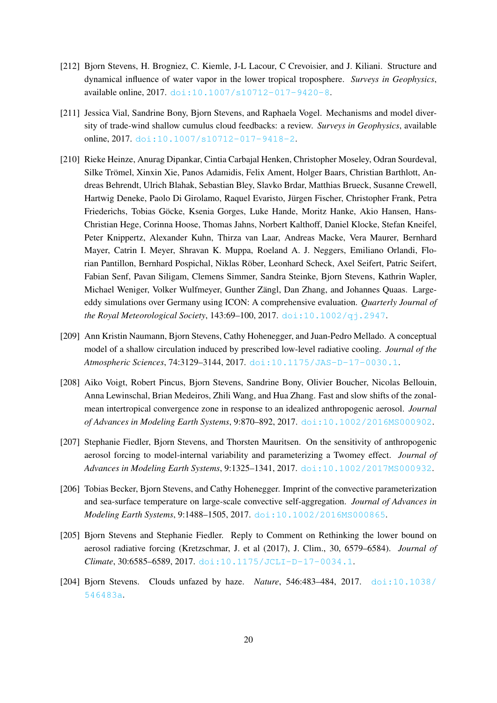- [212] Bjorn Stevens, H. Brogniez, C. Kiemle, J-L Lacour, C Crevoisier, and J. Kiliani. Structure and dynamical influence of water vapor in the lower tropical troposphere. *Surveys in Geophysics*, available online, 2017. [doi:10.1007/s10712-017-9420-8](https://doi.org/10.1007/s10712-017-9420-8).
- [211] Jessica Vial, Sandrine Bony, Bjorn Stevens, and Raphaela Vogel. Mechanisms and model diversity of trade-wind shallow cumulus cloud feedbacks: a review. *Surveys in Geophysics*, available online, 2017. [doi:10.1007/s10712-017-9418-2](https://doi.org/10.1007/s10712-017-9418-2).
- [210] Rieke Heinze, Anurag Dipankar, Cintia Carbajal Henken, Christopher Moseley, Odran Sourdeval, Silke Trömel, Xinxin Xie, Panos Adamidis, Felix Ament, Holger Baars, Christian Barthlott, Andreas Behrendt, Ulrich Blahak, Sebastian Bley, Slavko Brdar, Matthias Brueck, Susanne Crewell, Hartwig Deneke, Paolo Di Girolamo, Raquel Evaristo, Jurgen Fischer, Christopher Frank, Petra ¨ Friederichs, Tobias Göcke, Ksenia Gorges, Luke Hande, Moritz Hanke, Akio Hansen, Hans-Christian Hege, Corinna Hoose, Thomas Jahns, Norbert Kalthoff, Daniel Klocke, Stefan Kneifel, Peter Knippertz, Alexander Kuhn, Thirza van Laar, Andreas Macke, Vera Maurer, Bernhard Mayer, Catrin I. Meyer, Shravan K. Muppa, Roeland A. J. Neggers, Emiliano Orlandi, Florian Pantillon, Bernhard Pospichal, Niklas Rober, Leonhard Scheck, Axel Seifert, Patric Seifert, ¨ Fabian Senf, Pavan Siligam, Clemens Simmer, Sandra Steinke, Bjorn Stevens, Kathrin Wapler, Michael Weniger, Volker Wulfmeyer, Gunther Zängl, Dan Zhang, and Johannes Quaas. Largeeddy simulations over Germany using ICON: A comprehensive evaluation. *Quarterly Journal of the Royal Meteorological Society*, 143:69–100, 2017. [doi:10.1002/qj.2947](https://doi.org/10.1002/qj.2947).
- [209] Ann Kristin Naumann, Bjorn Stevens, Cathy Hohenegger, and Juan-Pedro Mellado. A conceptual model of a shallow circulation induced by prescribed low-level radiative cooling. *Journal of the Atmospheric Sciences*, 74:3129–3144, 2017. [doi:10.1175/JAS-D-17-0030.1](https://doi.org/10.1175/JAS-D-17-0030.1).
- [208] Aiko Voigt, Robert Pincus, Bjorn Stevens, Sandrine Bony, Olivier Boucher, Nicolas Bellouin, Anna Lewinschal, Brian Medeiros, Zhili Wang, and Hua Zhang. Fast and slow shifts of the zonalmean intertropical convergence zone in response to an idealized anthropogenic aerosol. *Journal of Advances in Modeling Earth Systems*, 9:870–892, 2017. [doi:10.1002/2016MS000902](https://doi.org/10.1002/2016MS000902).
- [207] Stephanie Fiedler, Bjorn Stevens, and Thorsten Mauritsen. On the sensitivity of anthropogenic aerosol forcing to model-internal variability and parameterizing a Twomey effect. *Journal of Advances in Modeling Earth Systems*, 9:1325–1341, 2017. [doi:10.1002/2017MS000932](https://doi.org/10.1002/2017MS000932).
- [206] Tobias Becker, Bjorn Stevens, and Cathy Hohenegger. Imprint of the convective parameterization and sea-surface temperature on large-scale convective self-aggregation. *Journal of Advances in Modeling Earth Systems*, 9:1488–1505, 2017. [doi:10.1002/2016MS000865](https://doi.org/10.1002/2016MS000865).
- [205] Bjorn Stevens and Stephanie Fiedler. Reply to Comment on Rethinking the lower bound on aerosol radiative forcing (Kretzschmar, J. et al (2017), J. Clim., 30, 6579–6584). *Journal of Climate*, 30:6585–6589, 2017. [doi:10.1175/JCLI-D-17-0034.1](https://doi.org/10.1175/JCLI-D-17-0034.1).
- [204] Bjorn Stevens. Clouds unfazed by haze. *Nature*, 546:483–484, 2017. [doi:10.1038/](https://doi.org/10.1038/546483a) [546483a](https://doi.org/10.1038/546483a).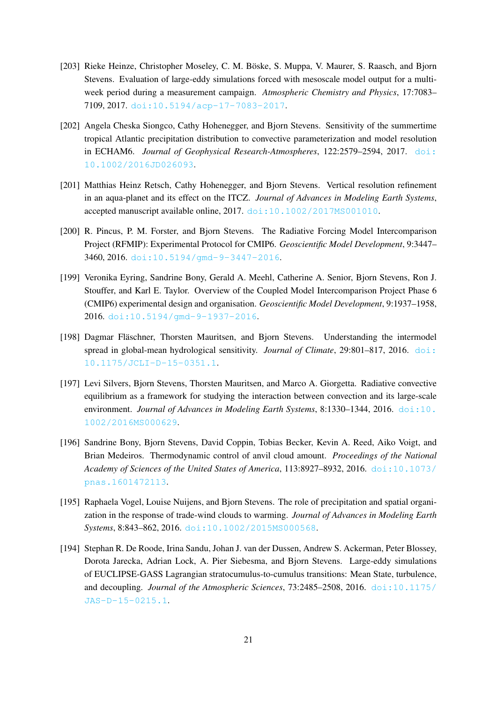- [203] Rieke Heinze, Christopher Moseley, C. M. Böske, S. Muppa, V. Maurer, S. Raasch, and Bjorn Stevens. Evaluation of large-eddy simulations forced with mesoscale model output for a multiweek period during a measurement campaign. *Atmospheric Chemistry and Physics*, 17:7083– 7109, 2017. [doi:10.5194/acp-17-7083-2017](https://doi.org/10.5194/acp-17-7083-2017).
- [202] Angela Cheska Siongco, Cathy Hohenegger, and Bjorn Stevens. Sensitivity of the summertime tropical Atlantic precipitation distribution to convective parameterization and model resolution in ECHAM6. *Journal of Geophysical Research-Atmospheres*, 122:2579–2594, 2017. [doi:](https://doi.org/10.1002/2016JD026093) [10.1002/2016JD026093](https://doi.org/10.1002/2016JD026093).
- [201] Matthias Heinz Retsch, Cathy Hohenegger, and Bjorn Stevens. Vertical resolution refinement in an aqua-planet and its effect on the ITCZ. *Journal of Advances in Modeling Earth Systems*, accepted manuscript available online, 2017. [doi:10.1002/2017MS001010](https://doi.org/10.1002/2017MS001010).
- [200] R. Pincus, P. M. Forster, and Bjorn Stevens. The Radiative Forcing Model Intercomparison Project (RFMIP): Experimental Protocol for CMIP6. *Geoscientific Model Development*, 9:3447– 3460, 2016. [doi:10.5194/gmd-9-3447-2016](https://doi.org/10.5194/gmd-9-3447-2016).
- [199] Veronika Eyring, Sandrine Bony, Gerald A. Meehl, Catherine A. Senior, Bjorn Stevens, Ron J. Stouffer, and Karl E. Taylor. Overview of the Coupled Model Intercomparison Project Phase 6 (CMIP6) experimental design and organisation. *Geoscientific Model Development*, 9:1937–1958, 2016. [doi:10.5194/gmd-9-1937-2016](https://doi.org/10.5194/gmd-9-1937-2016).
- [198] Dagmar Fläschner, Thorsten Mauritsen, and Bjorn Stevens. Understanding the intermodel spread in global-mean hydrological sensitivity. *Journal of Climate*, 29:801–817, 2016. [doi:](https://doi.org/10.1175/JCLI-D-15-0351.1) [10.1175/JCLI-D-15-0351.1](https://doi.org/10.1175/JCLI-D-15-0351.1).
- [197] Levi Silvers, Bjorn Stevens, Thorsten Mauritsen, and Marco A. Giorgetta. Radiative convective equilibrium as a framework for studying the interaction between convection and its large-scale environment. *Journal of Advances in Modeling Earth Systems*, 8:1330–1344, 2016. [doi:10.](https://doi.org/10.1002/2016MS000629) [1002/2016MS000629](https://doi.org/10.1002/2016MS000629).
- [196] Sandrine Bony, Bjorn Stevens, David Coppin, Tobias Becker, Kevin A. Reed, Aiko Voigt, and Brian Medeiros. Thermodynamic control of anvil cloud amount. *Proceedings of the National Academy of Sciences of the United States of America*, 113:8927–8932, 2016. [doi:10.1073/](https://doi.org/10.1073/pnas.1601472113) [pnas.1601472113](https://doi.org/10.1073/pnas.1601472113).
- [195] Raphaela Vogel, Louise Nuijens, and Bjorn Stevens. The role of precipitation and spatial organization in the response of trade-wind clouds to warming. *Journal of Advances in Modeling Earth Systems*, 8:843–862, 2016. [doi:10.1002/2015MS000568](https://doi.org/10.1002/2015MS000568).
- [194] Stephan R. De Roode, Irina Sandu, Johan J. van der Dussen, Andrew S. Ackerman, Peter Blossey, Dorota Jarecka, Adrian Lock, A. Pier Siebesma, and Bjorn Stevens. Large-eddy simulations of EUCLIPSE-GASS Lagrangian stratocumulus-to-cumulus transitions: Mean State, turbulence, and decoupling. *Journal of the Atmospheric Sciences*, 73:2485–2508, 2016. [doi:10.1175/](https://doi.org/10.1175/JAS-D-15-0215.1) [JAS-D-15-0215.1](https://doi.org/10.1175/JAS-D-15-0215.1).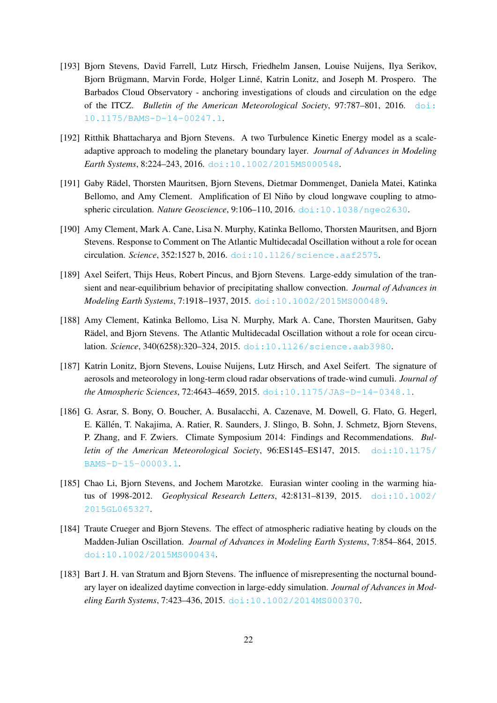- [193] Bjorn Stevens, David Farrell, Lutz Hirsch, Friedhelm Jansen, Louise Nuijens, Ilya Serikov, Bjorn Brügmann, Marvin Forde, Holger Linné, Katrin Lonitz, and Joseph M. Prospero. The Barbados Cloud Observatory - anchoring investigations of clouds and circulation on the edge of the ITCZ. *Bulletin of the American Meteorological Society*, 97:787–801, 2016. [doi:](https://doi.org/10.1175/BAMS-D-14-00247.1) [10.1175/BAMS-D-14-00247.1](https://doi.org/10.1175/BAMS-D-14-00247.1).
- [192] Ritthik Bhattacharya and Bjorn Stevens. A two Turbulence Kinetic Energy model as a scaleadaptive approach to modeling the planetary boundary layer. *Journal of Advances in Modeling Earth Systems*, 8:224–243, 2016. [doi:10.1002/2015MS000548](https://doi.org/10.1002/2015MS000548).
- [191] Gaby Radel, Thorsten Mauritsen, Bjorn Stevens, Dietmar Dommenget, Daniela Matei, Katinka ¨ Bellomo, and Amy Clement. Amplification of El Niño by cloud longwave coupling to atmospheric circulation. *Nature Geoscience*, 9:106–110, 2016. [doi:10.1038/ngeo2630](https://doi.org/10.1038/ngeo2630).
- [190] Amy Clement, Mark A. Cane, Lisa N. Murphy, Katinka Bellomo, Thorsten Mauritsen, and Bjorn Stevens. Response to Comment on The Atlantic Multidecadal Oscillation without a role for ocean circulation. *Science*, 352:1527 b, 2016. [doi:10.1126/science.aaf2575](https://doi.org/10.1126/science.aaf2575).
- [189] Axel Seifert, Thijs Heus, Robert Pincus, and Bjorn Stevens. Large-eddy simulation of the transient and near-equilibrium behavior of precipitating shallow convection. *Journal of Advances in Modeling Earth Systems*, 7:1918–1937, 2015. [doi:10.1002/2015MS000489](https://doi.org/10.1002/2015MS000489).
- [188] Amy Clement, Katinka Bellomo, Lisa N. Murphy, Mark A. Cane, Thorsten Mauritsen, Gaby Rädel, and Bjorn Stevens. The Atlantic Multidecadal Oscillation without a role for ocean circulation. *Science*, 340(6258):320–324, 2015. [doi:10.1126/science.aab3980](https://doi.org/10.1126/science.aab3980).
- [187] Katrin Lonitz, Bjorn Stevens, Louise Nuijens, Lutz Hirsch, and Axel Seifert. The signature of aerosols and meteorology in long-term cloud radar observations of trade-wind cumuli. *Journal of the Atmospheric Sciences*, 72:4643–4659, 2015. [doi:10.1175/JAS-D-14-0348.1](https://doi.org/10.1175/JAS-D-14-0348.1).
- [186] G. Asrar, S. Bony, O. Boucher, A. Busalacchi, A. Cazenave, M. Dowell, G. Flato, G. Hegerl, E. Källén, T. Nakajima, A. Ratier, R. Saunders, J. Slingo, B. Sohn, J. Schmetz, Bjorn Stevens, P. Zhang, and F. Zwiers. Climate Symposium 2014: Findings and Recommendations. *Bulletin of the American Meteorological Society*, 96:ES145–ES147, 2015. [doi:10.1175/](https://doi.org/10.1175/BAMS-D-15-00003.1) [BAMS-D-15-00003.1](https://doi.org/10.1175/BAMS-D-15-00003.1).
- [185] Chao Li, Bjorn Stevens, and Jochem Marotzke. Eurasian winter cooling in the warming hiatus of 1998-2012. *Geophysical Research Letters*, 42:8131–8139, 2015. [doi:10.1002/](https://doi.org/10.1002/2015GL065327) [2015GL065327](https://doi.org/10.1002/2015GL065327).
- [184] Traute Crueger and Bjorn Stevens. The effect of atmospheric radiative heating by clouds on the Madden-Julian Oscillation. *Journal of Advances in Modeling Earth Systems*, 7:854–864, 2015. [doi:10.1002/2015MS000434](https://doi.org/10.1002/2015MS000434).
- [183] Bart J. H. van Stratum and Bjorn Stevens. The influence of misrepresenting the nocturnal boundary layer on idealized daytime convection in large-eddy simulation. *Journal of Advances in Modeling Earth Systems*, 7:423–436, 2015. [doi:10.1002/2014MS000370](https://doi.org/10.1002/2014MS000370).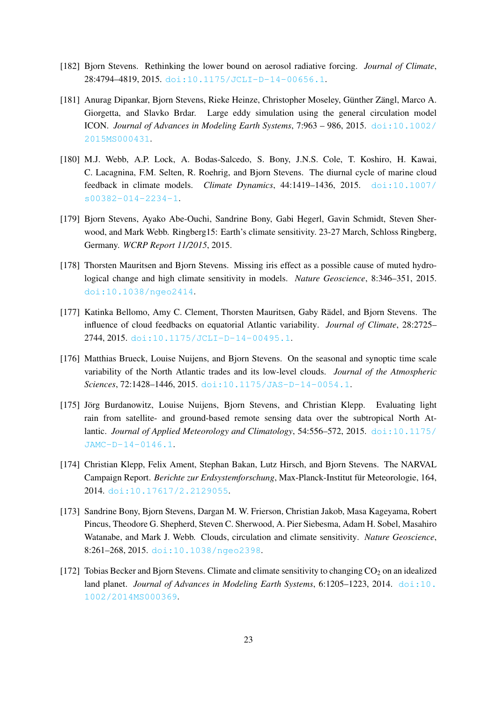- [182] Bjorn Stevens. Rethinking the lower bound on aerosol radiative forcing. *Journal of Climate*, 28:4794–4819, 2015. [doi:10.1175/JCLI-D-14-00656.1](https://doi.org/10.1175/JCLI-D-14-00656.1).
- [181] Anurag Dipankar, Bjorn Stevens, Rieke Heinze, Christopher Moseley, Günther Zängl, Marco A. Giorgetta, and Slavko Brdar. Large eddy simulation using the general circulation model ICON. *Journal of Advances in Modeling Earth Systems*, 7:963 – 986, 2015. [doi:10.1002/](https://doi.org/10.1002/2015MS000431) [2015MS000431](https://doi.org/10.1002/2015MS000431).
- [180] M.J. Webb, A.P. Lock, A. Bodas-Salcedo, S. Bony, J.N.S. Cole, T. Koshiro, H. Kawai, C. Lacagnina, F.M. Selten, R. Roehrig, and Bjorn Stevens. The diurnal cycle of marine cloud feedback in climate models. *Climate Dynamics*, 44:1419–1436, 2015. [doi:10.1007/](https://doi.org/10.1007/s00382-014-2234-1) [s00382-014-2234-1](https://doi.org/10.1007/s00382-014-2234-1).
- [179] Bjorn Stevens, Ayako Abe-Ouchi, Sandrine Bony, Gabi Hegerl, Gavin Schmidt, Steven Sherwood, and Mark Webb. Ringberg15: Earth's climate sensitivity. 23-27 March, Schloss Ringberg, Germany. *WCRP Report 11/2015*, 2015.
- [178] Thorsten Mauritsen and Bjorn Stevens. Missing iris effect as a possible cause of muted hydrological change and high climate sensitivity in models. *Nature Geoscience*, 8:346–351, 2015. [doi:10.1038/ngeo2414](https://doi.org/10.1038/ngeo2414).
- [177] Katinka Bellomo, Amy C. Clement, Thorsten Mauritsen, Gaby Rädel, and Bjorn Stevens. The influence of cloud feedbacks on equatorial Atlantic variability. *Journal of Climate*, 28:2725– 2744, 2015. [doi:10.1175/JCLI-D-14-00495.1](https://doi.org/10.1175/JCLI-D-14-00495.1).
- [176] Matthias Brueck, Louise Nuijens, and Bjorn Stevens. On the seasonal and synoptic time scale variability of the North Atlantic trades and its low-level clouds. *Journal of the Atmospheric Sciences*, 72:1428–1446, 2015. [doi:10.1175/JAS-D-14-0054.1](https://doi.org/10.1175/JAS-D-14-0054.1).
- [175] Jörg Burdanowitz, Louise Nuijens, Bjorn Stevens, and Christian Klepp. Evaluating light rain from satellite- and ground-based remote sensing data over the subtropical North Atlantic. *Journal of Applied Meteorology and Climatology*, 54:556–572, 2015. [doi:10.1175/](https://doi.org/10.1175/JAMC-D-14-0146.1) [JAMC-D-14-0146.1](https://doi.org/10.1175/JAMC-D-14-0146.1).
- [174] Christian Klepp, Felix Ament, Stephan Bakan, Lutz Hirsch, and Bjorn Stevens. The NARVAL Campaign Report. *Berichte zur Erdsystemforschung*, Max-Planck-Institut fur Meteorologie, 164, ¨ 2014. [doi:10.17617/2.2129055](https://doi.org/10.17617/2.2129055).
- [173] Sandrine Bony, Bjorn Stevens, Dargan M. W. Frierson, Christian Jakob, Masa Kageyama, Robert Pincus, Theodore G. Shepherd, Steven C. Sherwood, A. Pier Siebesma, Adam H. Sobel, Masahiro Watanabe, and Mark J. Webb. Clouds, circulation and climate sensitivity. *Nature Geoscience*, 8:261–268, 2015. [doi:10.1038/ngeo2398](https://doi.org/10.1038/ngeo2398).
- [172] Tobias Becker and Bjorn Stevens. Climate and climate sensitivity to changing  $CO<sub>2</sub>$  on an idealized land planet. *Journal of Advances in Modeling Earth Systems*, 6:1205–1223, 2014. [doi:10.](https://doi.org/10.1002/2014MS000369) [1002/2014MS000369](https://doi.org/10.1002/2014MS000369).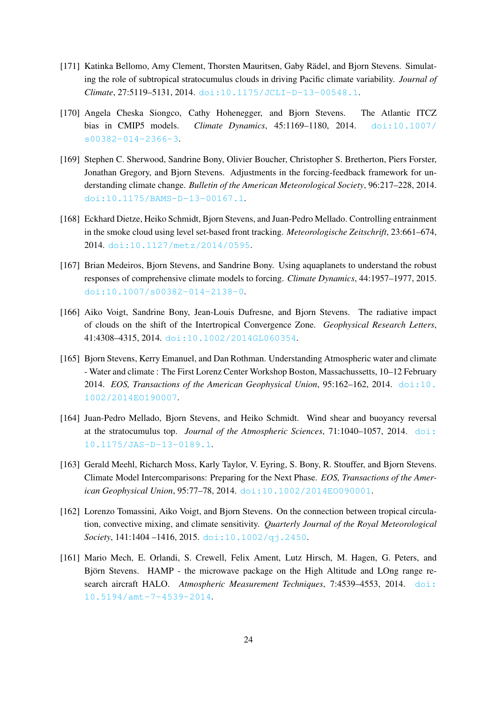- [171] Katinka Bellomo, Amy Clement, Thorsten Mauritsen, Gaby Rädel, and Bjorn Stevens. Simulating the role of subtropical stratocumulus clouds in driving Pacific climate variability. *Journal of Climate*, 27:5119–5131, 2014. [doi:10.1175/JCLI-D-13-00548.1](https://doi.org/10.1175/JCLI-D-13-00548.1).
- [170] Angela Cheska Siongco, Cathy Hohenegger, and Bjorn Stevens. The Atlantic ITCZ bias in CMIP5 models. *Climate Dynamics*, 45:1169–1180, 2014. [doi:10.1007/](https://doi.org/10.1007/s00382-014-2366-3) [s00382-014-2366-3](https://doi.org/10.1007/s00382-014-2366-3).
- [169] Stephen C. Sherwood, Sandrine Bony, Olivier Boucher, Christopher S. Bretherton, Piers Forster, Jonathan Gregory, and Bjorn Stevens. Adjustments in the forcing-feedback framework for understanding climate change. *Bulletin of the American Meteorological Society*, 96:217–228, 2014. [doi:10.1175/BAMS-D-13-00167.1](https://doi.org/10.1175/BAMS-D-13-00167.1).
- [168] Eckhard Dietze, Heiko Schmidt, Bjorn Stevens, and Juan-Pedro Mellado. Controlling entrainment in the smoke cloud using level set-based front tracking. *Meteorologische Zeitschrift*, 23:661–674, 2014. [doi:10.1127/metz/2014/0595](https://doi.org/10.1127/metz/2014/0595).
- [167] Brian Medeiros, Bjorn Stevens, and Sandrine Bony. Using aquaplanets to understand the robust responses of comprehensive climate models to forcing. *Climate Dynamics*, 44:1957–1977, 2015. [doi:10.1007/s00382-014-2138-0](https://doi.org/10.1007/s00382-014-2138-0).
- [166] Aiko Voigt, Sandrine Bony, Jean-Louis Dufresne, and Bjorn Stevens. The radiative impact of clouds on the shift of the Intertropical Convergence Zone. *Geophysical Research Letters*, 41:4308–4315, 2014. [doi:10.1002/2014GL060354](https://doi.org/10.1002/2014GL060354).
- [165] Bjorn Stevens, Kerry Emanuel, and Dan Rothman. Understanding Atmospheric water and climate - Water and climate : The First Lorenz Center Workshop Boston, Massachussetts, 10–12 February 2014. *EOS, Transactions of the American Geophysical Union*, 95:162–162, 2014. [doi:10.](https://doi.org/10.1002/2014EO190007) [1002/2014EO190007](https://doi.org/10.1002/2014EO190007).
- [164] Juan-Pedro Mellado, Bjorn Stevens, and Heiko Schmidt. Wind shear and buoyancy reversal at the stratocumulus top. *Journal of the Atmospheric Sciences*, 71:1040–1057, 2014. [doi:](https://doi.org/10.1175/JAS-D-13-0189.1) [10.1175/JAS-D-13-0189.1](https://doi.org/10.1175/JAS-D-13-0189.1).
- [163] Gerald Meehl, Richarch Moss, Karly Taylor, V. Eyring, S. Bony, R. Stouffer, and Bjorn Stevens. Climate Model Intercomparisons: Preparing for the Next Phase. *EOS, Transactions of the American Geophysical Union*, 95:77–78, 2014. [doi:10.1002/2014EO090001](https://doi.org/10.1002/2014EO090001).
- [162] Lorenzo Tomassini, Aiko Voigt, and Bjorn Stevens. On the connection between tropical circulation, convective mixing, and climate sensitivity. *Quarterly Journal of the Royal Meteorological Society*, 141:1404 –1416, 2015. [doi:10.1002/qj.2450](https://doi.org/10.1002/qj.2450).
- [161] Mario Mech, E. Orlandi, S. Crewell, Felix Ament, Lutz Hirsch, M. Hagen, G. Peters, and Björn Stevens. HAMP - the microwave package on the High Altitude and LOng range research aircraft HALO. *Atmospheric Measurement Techniques*, 7:4539–4553, 2014. [doi:](https://doi.org/10.5194/amt-7-4539-2014) [10.5194/amt-7-4539-2014](https://doi.org/10.5194/amt-7-4539-2014).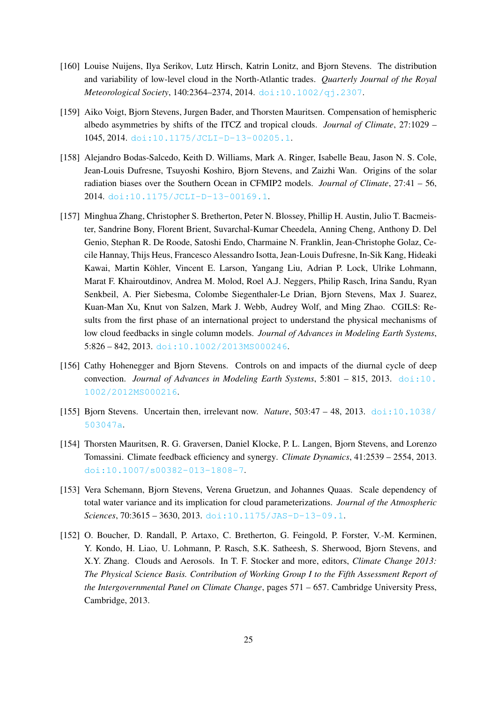- [160] Louise Nuijens, Ilya Serikov, Lutz Hirsch, Katrin Lonitz, and Bjorn Stevens. The distribution and variability of low-level cloud in the North-Atlantic trades. *Quarterly Journal of the Royal Meteorological Society*, 140:2364–2374, 2014. [doi:10.1002/qj.2307](https://doi.org/10.1002/qj.2307).
- [159] Aiko Voigt, Bjorn Stevens, Jurgen Bader, and Thorsten Mauritsen. Compensation of hemispheric albedo asymmetries by shifts of the ITCZ and tropical clouds. *Journal of Climate*, 27:1029 – 1045, 2014. [doi:10.1175/JCLI-D-13-00205.1](https://doi.org/10.1175/JCLI-D-13-00205.1).
- [158] Alejandro Bodas-Salcedo, Keith D. Williams, Mark A. Ringer, Isabelle Beau, Jason N. S. Cole, Jean-Louis Dufresne, Tsuyoshi Koshiro, Bjorn Stevens, and Zaizhi Wan. Origins of the solar radiation biases over the Southern Ocean in CFMIP2 models. *Journal of Climate*, 27:41 – 56, 2014. [doi:10.1175/JCLI-D-13-00169.1](https://doi.org/10.1175/JCLI-D-13-00169.1).
- [157] Minghua Zhang, Christopher S. Bretherton, Peter N. Blossey, Phillip H. Austin, Julio T. Bacmeister, Sandrine Bony, Florent Brient, Suvarchal-Kumar Cheedela, Anning Cheng, Anthony D. Del Genio, Stephan R. De Roode, Satoshi Endo, Charmaine N. Franklin, Jean-Christophe Golaz, Cecile Hannay, Thijs Heus, Francesco Alessandro Isotta, Jean-Louis Dufresne, In-Sik Kang, Hideaki Kawai, Martin Köhler, Vincent E. Larson, Yangang Liu, Adrian P. Lock, Ulrike Lohmann, Marat F. Khairoutdinov, Andrea M. Molod, Roel A.J. Neggers, Philip Rasch, Irina Sandu, Ryan Senkbeil, A. Pier Siebesma, Colombe Siegenthaler-Le Drian, Bjorn Stevens, Max J. Suarez, Kuan-Man Xu, Knut von Salzen, Mark J. Webb, Audrey Wolf, and Ming Zhao. CGILS: Results from the first phase of an international project to understand the physical mechanisms of low cloud feedbacks in single column models. *Journal of Advances in Modeling Earth Systems*, 5:826 – 842, 2013. [doi:10.1002/2013MS000246](https://doi.org/10.1002/2013MS000246).
- [156] Cathy Hohenegger and Bjorn Stevens. Controls on and impacts of the diurnal cycle of deep convection. *Journal of Advances in Modeling Earth Systems*, 5:801 – 815, 2013. [doi:10.](https://doi.org/10.1002/2012MS000216) [1002/2012MS000216](https://doi.org/10.1002/2012MS000216).
- [155] Bjorn Stevens. Uncertain then, irrelevant now. *Nature*, 503:47 48, 2013. [doi:10.1038/](https://doi.org/10.1038/503047a) [503047a](https://doi.org/10.1038/503047a).
- [154] Thorsten Mauritsen, R. G. Graversen, Daniel Klocke, P. L. Langen, Bjorn Stevens, and Lorenzo Tomassini. Climate feedback efficiency and synergy. *Climate Dynamics*, 41:2539 – 2554, 2013. [doi:10.1007/s00382-013-1808-7](https://doi.org/10.1007/s00382-013-1808-7).
- [153] Vera Schemann, Bjorn Stevens, Verena Gruetzun, and Johannes Quaas. Scale dependency of total water variance and its implication for cloud parameterizations. *Journal of the Atmospheric Sciences*, 70:3615 – 3630, 2013. [doi:10.1175/JAS-D-13-09.1](https://doi.org/10.1175/JAS-D-13-09.1).
- [152] O. Boucher, D. Randall, P. Artaxo, C. Bretherton, G. Feingold, P. Forster, V.-M. Kerminen, Y. Kondo, H. Liao, U. Lohmann, P. Rasch, S.K. Satheesh, S. Sherwood, Bjorn Stevens, and X.Y. Zhang. Clouds and Aerosols. In T. F. Stocker and more, editors, *Climate Change 2013: The Physical Science Basis. Contribution of Working Group I to the Fifth Assessment Report of the Intergovernmental Panel on Climate Change*, pages 571 – 657. Cambridge University Press, Cambridge, 2013.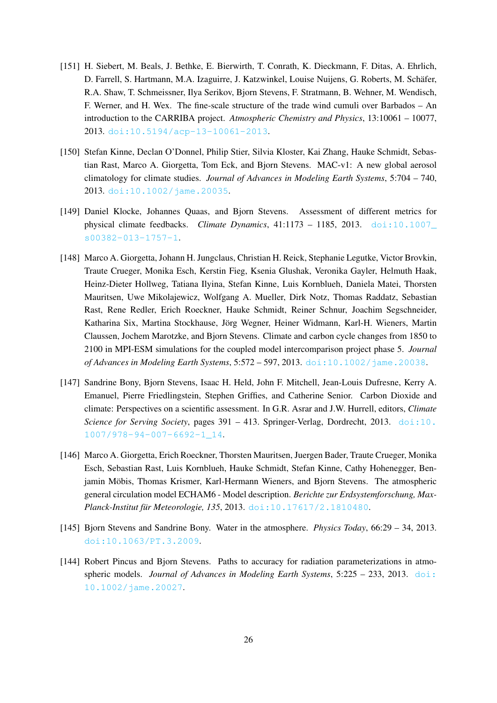- [151] H. Siebert, M. Beals, J. Bethke, E. Bierwirth, T. Conrath, K. Dieckmann, F. Ditas, A. Ehrlich, D. Farrell, S. Hartmann, M.A. Izaguirre, J. Katzwinkel, Louise Nuijens, G. Roberts, M. Schäfer, R.A. Shaw, T. Schmeissner, Ilya Serikov, Bjorn Stevens, F. Stratmann, B. Wehner, M. Wendisch, F. Werner, and H. Wex. The fine-scale structure of the trade wind cumuli over Barbados – An introduction to the CARRIBA project. *Atmospheric Chemistry and Physics*, 13:10061 – 10077, 2013. [doi:10.5194/acp-13-10061-2013](https://doi.org/10.5194/acp-13-10061-2013).
- [150] Stefan Kinne, Declan O'Donnel, Philip Stier, Silvia Kloster, Kai Zhang, Hauke Schmidt, Sebastian Rast, Marco A. Giorgetta, Tom Eck, and Bjorn Stevens. MAC-v1: A new global aerosol climatology for climate studies. *Journal of Advances in Modeling Earth Systems*, 5:704 – 740, 2013. [doi:10.1002/jame.20035](https://doi.org/10.1002/jame.20035).
- [149] Daniel Klocke, Johannes Quaas, and Bjorn Stevens. Assessment of different metrics for physical climate feedbacks. *Climate Dynamics*, 41:1173 – 1185, 2013. [doi:10.1007\\_](https://doi.org/10.1007_s00382-013-1757-1) [s00382-013-1757-1](https://doi.org/10.1007_s00382-013-1757-1).
- [148] Marco A. Giorgetta, Johann H. Jungclaus, Christian H. Reick, Stephanie Legutke, Victor Brovkin, Traute Crueger, Monika Esch, Kerstin Fieg, Ksenia Glushak, Veronika Gayler, Helmuth Haak, Heinz-Dieter Hollweg, Tatiana Ilyina, Stefan Kinne, Luis Kornblueh, Daniela Matei, Thorsten Mauritsen, Uwe Mikolajewicz, Wolfgang A. Mueller, Dirk Notz, Thomas Raddatz, Sebastian Rast, Rene Redler, Erich Roeckner, Hauke Schmidt, Reiner Schnur, Joachim Segschneider, Katharina Six, Martina Stockhause, Jörg Wegner, Heiner Widmann, Karl-H. Wieners, Martin Claussen, Jochem Marotzke, and Bjorn Stevens. Climate and carbon cycle changes from 1850 to 2100 in MPI-ESM simulations for the coupled model intercomparison project phase 5. *Journal of Advances in Modeling Earth Systems*, 5:572 – 597, 2013. [doi:10.1002/jame.20038](https://doi.org/10.1002/jame.20038).
- [147] Sandrine Bony, Bjorn Stevens, Isaac H. Held, John F. Mitchell, Jean-Louis Dufresne, Kerry A. Emanuel, Pierre Friedlingstein, Stephen Griffies, and Catherine Senior. Carbon Dioxide and climate: Perspectives on a scientific assessment. In G.R. Asrar and J.W. Hurrell, editors, *Climate Science for Serving Society*, pages 391 – 413. Springer-Verlag, Dordrecht, 2013. [doi:10.](https://doi.org/10.1007/978-94-007-6692-1_14) [1007/978-94-007-6692-1\\_14](https://doi.org/10.1007/978-94-007-6692-1_14).
- [146] Marco A. Giorgetta, Erich Roeckner, Thorsten Mauritsen, Juergen Bader, Traute Crueger, Monika Esch, Sebastian Rast, Luis Kornblueh, Hauke Schmidt, Stefan Kinne, Cathy Hohenegger, Benjamin Möbis, Thomas Krismer, Karl-Hermann Wieners, and Bjorn Stevens. The atmospheric general circulation model ECHAM6 - Model description. *Berichte zur Erdsystemforschung, MaxPlanck-Institut für Meteorologie, 135, 2013. [doi:10.17617/2.1810480](https://doi.org/10.17617/2.1810480).*
- [145] Bjorn Stevens and Sandrine Bony. Water in the atmosphere. *Physics Today*, 66:29 34, 2013. [doi:10.1063/PT.3.2009](https://doi.org/10.1063/PT.3.2009).
- [144] Robert Pincus and Bjorn Stevens. Paths to accuracy for radiation parameterizations in atmospheric models. *Journal of Advances in Modeling Earth Systems*, 5:225 – 233, 2013. [doi:](https://doi.org/10.1002/jame.20027) [10.1002/jame.20027](https://doi.org/10.1002/jame.20027).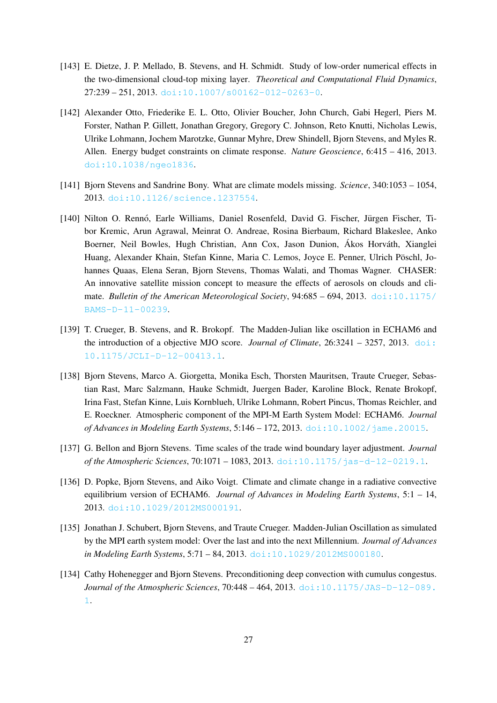- [143] E. Dietze, J. P. Mellado, B. Stevens, and H. Schmidt. Study of low-order numerical effects in the two-dimensional cloud-top mixing layer. *Theoretical and Computational Fluid Dynamics*,  $27:239 - 251, 2013.$  [doi:10.1007/s00162-012-0263-0](https://doi.org/10.1007/s00162-012-0263-0).
- [142] Alexander Otto, Friederike E. L. Otto, Olivier Boucher, John Church, Gabi Hegerl, Piers M. Forster, Nathan P. Gillett, Jonathan Gregory, Gregory C. Johnson, Reto Knutti, Nicholas Lewis, Ulrike Lohmann, Jochem Marotzke, Gunnar Myhre, Drew Shindell, Bjorn Stevens, and Myles R. Allen. Energy budget constraints on climate response. *Nature Geoscience*, 6:415 – 416, 2013. [doi:10.1038/ngeo1836](https://doi.org/10.1038/ngeo1836).
- [141] Bjorn Stevens and Sandrine Bony. What are climate models missing. *Science*, 340:1053 1054, 2013. [doi:10.1126/science.1237554](https://doi.org/10.1126/science.1237554).
- [140] Nilton O. Rennó, Earle Williams, Daniel Rosenfeld, David G. Fischer, Jürgen Fischer, Tibor Kremic, Arun Agrawal, Meinrat O. Andreae, Rosina Bierbaum, Richard Blakeslee, Anko Boerner, Neil Bowles, Hugh Christian, Ann Cox, Jason Dunion, Ákos Horváth, Xianglei Huang, Alexander Khain, Stefan Kinne, Maria C. Lemos, Joyce E. Penner, Ulrich Pöschl, Johannes Quaas, Elena Seran, Bjorn Stevens, Thomas Walati, and Thomas Wagner. CHASER: An innovative satellite mission concept to measure the effects of aerosols on clouds and climate. *Bulletin of the American Meteorological Society*, 94:685 - 694, 2013. [doi:10.1175/](https://doi.org/10.1175/BAMS-D-11-00239) [BAMS-D-11-00239](https://doi.org/10.1175/BAMS-D-11-00239).
- [139] T. Crueger, B. Stevens, and R. Brokopf. The Madden-Julian like oscillation in ECHAM6 and the introduction of a objective MJO score. *Journal of Climate*, 26:3241 – 3257, 2013. [doi:](https://doi.org/10.1175/JCLI-D-12-00413.1) [10.1175/JCLI-D-12-00413.1](https://doi.org/10.1175/JCLI-D-12-00413.1).
- [138] Bjorn Stevens, Marco A. Giorgetta, Monika Esch, Thorsten Mauritsen, Traute Crueger, Sebastian Rast, Marc Salzmann, Hauke Schmidt, Juergen Bader, Karoline Block, Renate Brokopf, Irina Fast, Stefan Kinne, Luis Kornblueh, Ulrike Lohmann, Robert Pincus, Thomas Reichler, and E. Roeckner. Atmospheric component of the MPI-M Earth System Model: ECHAM6. *Journal of Advances in Modeling Earth Systems*, 5:146 – 172, 2013. [doi:10.1002/jame.20015](https://doi.org/10.1002/jame.20015).
- [137] G. Bellon and Bjorn Stevens. Time scales of the trade wind boundary layer adjustment. *Journal of the Atmospheric Sciences*, 70:1071 – 1083, 2013. [doi:10.1175/jas-d-12-0219.1](https://doi.org/10.1175/jas-d-12-0219.1).
- [136] D. Popke, Bjorn Stevens, and Aiko Voigt. Climate and climate change in a radiative convective equilibrium version of ECHAM6. *Journal of Advances in Modeling Earth Systems*, 5:1 – 14, 2013. [doi:10.1029/2012MS000191](https://doi.org/10.1029/2012MS000191).
- [135] Jonathan J. Schubert, Bjorn Stevens, and Traute Crueger. Madden-Julian Oscillation as simulated by the MPI earth system model: Over the last and into the next Millennium. *Journal of Advances in Modeling Earth Systems*, 5:71 – 84, 2013. [doi:10.1029/2012MS000180](https://doi.org/10.1029/2012MS000180).
- [134] Cathy Hohenegger and Bjorn Stevens. Preconditioning deep convection with cumulus congestus. *Journal of the Atmospheric Sciences*, 70:448 – 464, 2013. [doi:10.1175/JAS-D-12-089.](https://doi.org/10.1175/JAS-D-12-089.1) [1](https://doi.org/10.1175/JAS-D-12-089.1).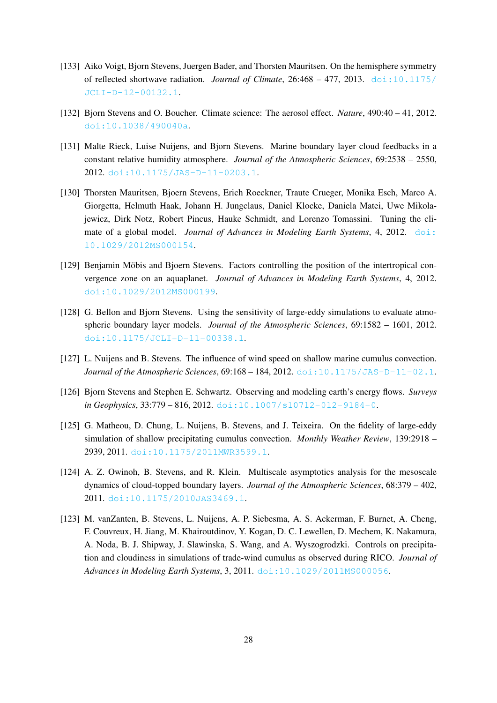- [133] Aiko Voigt, Bjorn Stevens, Juergen Bader, and Thorsten Mauritsen. On the hemisphere symmetry of reflected shortwave radiation. *Journal of Climate*, 26:468 – 477, 2013. [doi:10.1175/](https://doi.org/10.1175/JCLI-D-12-00132.1) [JCLI-D-12-00132.1](https://doi.org/10.1175/JCLI-D-12-00132.1).
- [132] Bjorn Stevens and O. Boucher. Climate science: The aerosol effect. *Nature*, 490:40 41, 2012. [doi:10.1038/490040a](https://doi.org/10.1038/490040a).
- [131] Malte Rieck, Luise Nuijens, and Bjorn Stevens. Marine boundary layer cloud feedbacks in a constant relative humidity atmosphere. *Journal of the Atmospheric Sciences*, 69:2538 – 2550, 2012. [doi:10.1175/JAS-D-11-0203.1](https://doi.org/10.1175/JAS-D-11-0203.1).
- [130] Thorsten Mauritsen, Bjoern Stevens, Erich Roeckner, Traute Crueger, Monika Esch, Marco A. Giorgetta, Helmuth Haak, Johann H. Jungclaus, Daniel Klocke, Daniela Matei, Uwe Mikolajewicz, Dirk Notz, Robert Pincus, Hauke Schmidt, and Lorenzo Tomassini. Tuning the climate of a global model. *Journal of Advances in Modeling Earth Systems*, 4, 2012. [doi:](https://doi.org/10.1029/2012MS000154) [10.1029/2012MS000154](https://doi.org/10.1029/2012MS000154).
- [129] Benjamin Möbis and Bjoern Stevens. Factors controlling the position of the intertropical convergence zone on an aquaplanet. *Journal of Advances in Modeling Earth Systems*, 4, 2012. [doi:10.1029/2012MS000199](https://doi.org/10.1029/2012MS000199).
- [128] G. Bellon and Bjorn Stevens. Using the sensitivity of large-eddy simulations to evaluate atmospheric boundary layer models. *Journal of the Atmospheric Sciences*, 69:1582 – 1601, 2012. [doi:10.1175/JCLI-D-11-00338.1](https://doi.org/10.1175/JCLI-D-11-00338.1).
- [127] L. Nuijens and B. Stevens. The influence of wind speed on shallow marine cumulus convection. *Journal of the Atmospheric Sciences*, 69:168 – 184, 2012. [doi:10.1175/JAS-D-11-02.1](https://doi.org/10.1175/JAS-D-11-02.1).
- [126] Bjorn Stevens and Stephen E. Schwartz. Observing and modeling earth's energy flows. *Surveys in Geophysics*, 33:779 – 816, 2012. [doi:10.1007/s10712-012-9184-0](https://doi.org/10.1007/s10712-012-9184-0).
- [125] G. Matheou, D. Chung, L. Nuijens, B. Stevens, and J. Teixeira. On the fidelity of large-eddy simulation of shallow precipitating cumulus convection. *Monthly Weather Review*, 139:2918 – 2939, 2011. [doi:10.1175/2011MWR3599.1](https://doi.org/10.1175/2011MWR3599.1).
- [124] A. Z. Owinoh, B. Stevens, and R. Klein. Multiscale asymptotics analysis for the mesoscale dynamics of cloud-topped boundary layers. *Journal of the Atmospheric Sciences*, 68:379 – 402, 2011. [doi:10.1175/2010JAS3469.1](https://doi.org/10.1175/2010JAS3469.1).
- [123] M. vanZanten, B. Stevens, L. Nuijens, A. P. Siebesma, A. S. Ackerman, F. Burnet, A. Cheng, F. Couvreux, H. Jiang, M. Khairoutdinov, Y. Kogan, D. C. Lewellen, D. Mechem, K. Nakamura, A. Noda, B. J. Shipway, J. Slawinska, S. Wang, and A. Wyszogrodzki. Controls on precipitation and cloudiness in simulations of trade-wind cumulus as observed during RICO. *Journal of Advances in Modeling Earth Systems*, 3, 2011. [doi:10.1029/2011MS000056](https://doi.org/10.1029/2011MS000056).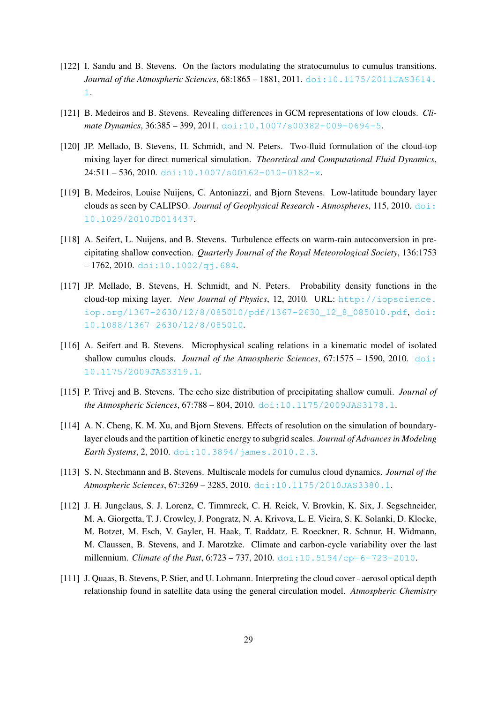- [122] I. Sandu and B. Stevens. On the factors modulating the stratocumulus to cumulus transitions. *Journal of the Atmospheric Sciences*, 68:1865 – 1881, 2011. [doi:10.1175/2011JAS3614.](https://doi.org/10.1175/2011JAS3614.1) [1](https://doi.org/10.1175/2011JAS3614.1).
- [121] B. Medeiros and B. Stevens. Revealing differences in GCM representations of low clouds. *Climate Dynamics*, 36:385 – 399, 2011. [doi:10.1007/s00382-009-0694-5](https://doi.org/10.1007/s00382-009-0694-5).
- [120] JP. Mellado, B. Stevens, H. Schmidt, and N. Peters. Two-fluid formulation of the cloud-top mixing layer for direct numerical simulation. *Theoretical and Computational Fluid Dynamics*,  $24:511 - 536, 2010.$  [doi:10.1007/s00162-010-0182-x](https://doi.org/10.1007/s00162-010-0182-x).
- [119] B. Medeiros, Louise Nuijens, C. Antoniazzi, and Bjorn Stevens. Low-latitude boundary layer clouds as seen by CALIPSO. *Journal of Geophysical Research - Atmospheres*, 115, 2010. [doi:](https://doi.org/10.1029/2010JD014437) [10.1029/2010JD014437](https://doi.org/10.1029/2010JD014437).
- [118] A. Seifert, L. Nuijens, and B. Stevens. Turbulence effects on warm-rain autoconversion in precipitating shallow convection. *Quarterly Journal of the Royal Meteorological Society*, 136:1753  $-1762, 2010.$  [doi:10.1002/qj.684](https://doi.org/10.1002/qj.684).
- [117] JP. Mellado, B. Stevens, H. Schmidt, and N. Peters. Probability density functions in the cloud-top mixing layer. *New Journal of Physics*, 12, 2010. URL: [http://iopscience.](http://iopscience.iop.org/1367-2630/12/8/085010/pdf/1367-2630_12_8_085010.pdf) [iop.org/1367-2630/12/8/085010/pdf/1367-2630\\_12\\_8\\_085010.pdf](http://iopscience.iop.org/1367-2630/12/8/085010/pdf/1367-2630_12_8_085010.pdf), [doi:](https://doi.org/10.1088/1367-2630/12/8/085010) [10.1088/1367-2630/12/8/085010](https://doi.org/10.1088/1367-2630/12/8/085010).
- [116] A. Seifert and B. Stevens. Microphysical scaling relations in a kinematic model of isolated shallow cumulus clouds. *Journal of the Atmospheric Sciences*, 67:1575 – 1590, 2010. [doi:](https://doi.org/10.1175/2009JAS3319.1) [10.1175/2009JAS3319.1](https://doi.org/10.1175/2009JAS3319.1).
- [115] P. Trivej and B. Stevens. The echo size distribution of precipitating shallow cumuli. *Journal of the Atmospheric Sciences*, 67:788 – 804, 2010. [doi:10.1175/2009JAS3178.1](https://doi.org/10.1175/2009JAS3178.1).
- [114] A. N. Cheng, K. M. Xu, and Bjorn Stevens. Effects of resolution on the simulation of boundarylayer clouds and the partition of kinetic energy to subgrid scales. *Journal of Advances in Modeling Earth Systems*, 2, 2010. [doi:10.3894/james.2010.2.3](https://doi.org/10.3894/james.2010.2.3).
- [113] S. N. Stechmann and B. Stevens. Multiscale models for cumulus cloud dynamics. *Journal of the Atmospheric Sciences*, 67:3269 – 3285, 2010. [doi:10.1175/2010JAS3380.1](https://doi.org/10.1175/2010JAS3380.1).
- [112] J. H. Jungclaus, S. J. Lorenz, C. Timmreck, C. H. Reick, V. Brovkin, K. Six, J. Segschneider, M. A. Giorgetta, T. J. Crowley, J. Pongratz, N. A. Krivova, L. E. Vieira, S. K. Solanki, D. Klocke, M. Botzet, M. Esch, V. Gayler, H. Haak, T. Raddatz, E. Roeckner, R. Schnur, H. Widmann, M. Claussen, B. Stevens, and J. Marotzke. Climate and carbon-cycle variability over the last millennium. *Climate of the Past*, 6:723 – 737, 2010. [doi:10.5194/cp-6-723-2010](https://doi.org/10.5194/cp-6-723-2010).
- [111] J. Quaas, B. Stevens, P. Stier, and U. Lohmann. Interpreting the cloud cover aerosol optical depth relationship found in satellite data using the general circulation model. *Atmospheric Chemistry*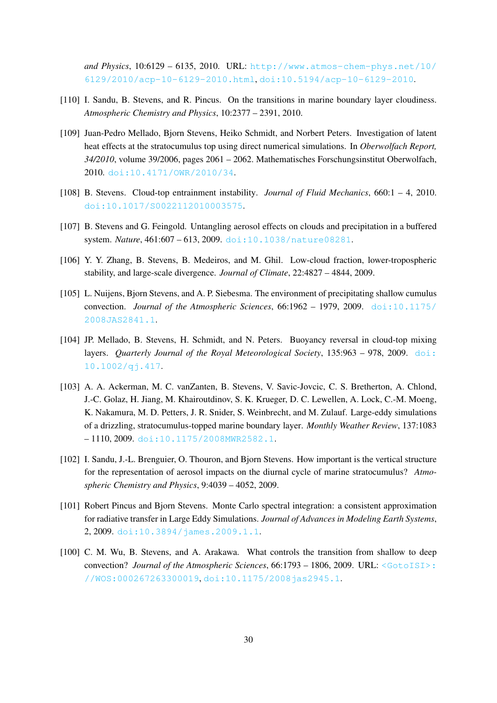*and Physics*, 10:6129 – 6135, 2010. URL: [http://www.atmos-chem-phys.net/10/](http://www.atmos-chem-phys.net/10/6129/2010/acp-10-6129-2010.html) [6129/2010/acp-10-6129-2010.html](http://www.atmos-chem-phys.net/10/6129/2010/acp-10-6129-2010.html), [doi:10.5194/acp-10-6129-2010](https://doi.org/10.5194/acp-10-6129-2010).

- [110] I. Sandu, B. Stevens, and R. Pincus. On the transitions in marine boundary layer cloudiness. *Atmospheric Chemistry and Physics*, 10:2377 – 2391, 2010.
- [109] Juan-Pedro Mellado, Bjorn Stevens, Heiko Schmidt, and Norbert Peters. Investigation of latent heat effects at the stratocumulus top using direct numerical simulations. In *Oberwolfach Report, 34/2010*, volume 39/2006, pages 2061 – 2062. Mathematisches Forschungsinstitut Oberwolfach, 2010. [doi:10.4171/OWR/2010/34](https://doi.org/10.4171/OWR/2010/34).
- [108] B. Stevens. Cloud-top entrainment instability. *Journal of Fluid Mechanics*, 660:1 4, 2010. [doi:10.1017/S0022112010003575](https://doi.org/10.1017/S0022112010003575).
- [107] B. Stevens and G. Feingold. Untangling aerosol effects on clouds and precipitation in a buffered system. *Nature*, 461:607 – 613, 2009. [doi:10.1038/nature08281](https://doi.org/10.1038/nature08281).
- [106] Y. Y. Zhang, B. Stevens, B. Medeiros, and M. Ghil. Low-cloud fraction, lower-tropospheric stability, and large-scale divergence. *Journal of Climate*, 22:4827 – 4844, 2009.
- [105] L. Nuijens, Bjorn Stevens, and A. P. Siebesma. The environment of precipitating shallow cumulus convection. *Journal of the Atmospheric Sciences*, 66:1962 – 1979, 2009. [doi:10.1175/](https://doi.org/10.1175/2008JAS2841.1) [2008JAS2841.1](https://doi.org/10.1175/2008JAS2841.1).
- [104] JP. Mellado, B. Stevens, H. Schmidt, and N. Peters. Buoyancy reversal in cloud-top mixing layers. *Quarterly Journal of the Royal Meteorological Society*, 135:963 – 978, 2009. [doi:](https://doi.org/10.1002/qj.417) [10.1002/qj.417](https://doi.org/10.1002/qj.417).
- [103] A. A. Ackerman, M. C. vanZanten, B. Stevens, V. Savic-Jovcic, C. S. Bretherton, A. Chlond, J.-C. Golaz, H. Jiang, M. Khairoutdinov, S. K. Krueger, D. C. Lewellen, A. Lock, C.-M. Moeng, K. Nakamura, M. D. Petters, J. R. Snider, S. Weinbrecht, and M. Zulauf. Large-eddy simulations of a drizzling, stratocumulus-topped marine boundary layer. *Monthly Weather Review*, 137:1083 – 1110, 2009. [doi:10.1175/2008MWR2582.1](https://doi.org/10.1175/2008MWR2582.1).
- [102] I. Sandu, J.-L. Brenguier, O. Thouron, and Bjorn Stevens. How important is the vertical structure for the representation of aerosol impacts on the diurnal cycle of marine stratocumulus? *Atmospheric Chemistry and Physics*, 9:4039 – 4052, 2009.
- [101] Robert Pincus and Bjorn Stevens. Monte Carlo spectral integration: a consistent approximation for radiative transfer in Large Eddy Simulations. *Journal of Advances in Modeling Earth Systems*, 2, 2009. [doi:10.3894/james.2009.1.1](https://doi.org/10.3894/james.2009.1.1).
- [100] C. M. Wu, B. Stevens, and A. Arakawa. What controls the transition from shallow to deep convection? *Journal of the Atmospheric Sciences*, 66:1793 – 1806, 2009. URL: [<GotoISI>:](<Go to ISI>://WOS:000267263300019) [//WOS:000267263300019](<Go to ISI>://WOS:000267263300019), [doi:10.1175/2008jas2945.1](https://doi.org/10.1175/2008jas2945.1).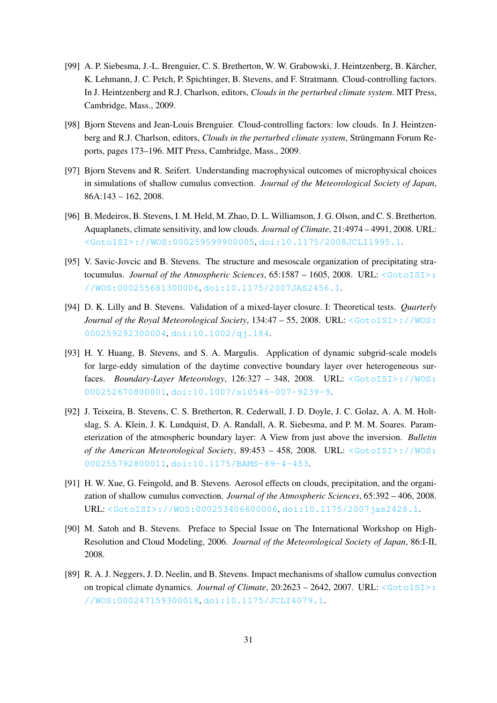- [99] A. P. Siebesma, J.-L. Brenguier, C. S. Bretherton, W. W. Grabowski, J. Heintzenberg, B. Kärcher, K. Lehmann, J. C. Petch, P. Spichtinger, B. Stevens, and F. Stratmann. Cloud-controlling factors. In J. Heintzenberg and R.J. Charlson, editors, *Clouds in the perturbed climate system*. MIT Press, Cambridge, Mass., 2009.
- [98] Bjorn Stevens and Jean-Louis Brenguier. Cloud-controlling factors: low clouds. In J. Heintzenberg and R.J. Charlson, editors, *Clouds in the perturbed climate system*, Strüngmann Forum Reports, pages 173–196. MIT Press, Cambridge, Mass., 2009.
- [97] Bjorn Stevens and R. Seifert. Understanding macrophysical outcomes of microphysical choices in simulations of shallow cumulus convection. *Journal of the Meteorological Society of Japan*, 86A:143 – 162, 2008.
- [96] B. Medeiros, B. Stevens, I. M. Held, M. Zhao, D. L. Williamson, J. G. Olson, and C. S. Bretherton. Aquaplanets, climate sensitivity, and low clouds. *Journal of Climate*, 21:4974 – 4991, 2008. URL: [<GotoISI>://WOS:000259599900005](<Go to ISI>://WOS:000259599900005), [doi:10.1175/2008JCLI1995.1](https://doi.org/10.1175/2008JCLI1995.1).
- [95] V. Savic-Jovcic and B. Stevens. The structure and mesoscale organization of precipitating stratocumulus. *Journal of the Atmospheric Sciences*, 65:1587 – 1605, 2008. URL: [<GotoISI>:](<Go to ISI>://WOS:000255681300006) [//WOS:000255681300006](<Go to ISI>://WOS:000255681300006), [doi:10.1175/2007JAS2456.1](https://doi.org/10.1175/2007JAS2456.1).
- [94] D. K. Lilly and B. Stevens. Validation of a mixed-layer closure. I: Theoretical tests. *Quarterly Journal of the Royal Meteorological Society*, 134:47 – 55, 2008. URL: [<GotoISI>://WOS:](<Go to ISI>://WOS:000259292300004) [000259292300004](<Go to ISI>://WOS:000259292300004), [doi:10.1002/qj.184](https://doi.org/10.1002/qj.184).
- [93] H. Y. Huang, B. Stevens, and S. A. Margulis. Application of dynamic subgrid-scale models for large-eddy simulation of the daytime convective boundary layer over heterogeneous surfaces. *Boundary-Layer Meteorology*, 126:327 – 348, 2008. URL: [<GotoISI>://WOS:](<Go to ISI>://WOS:000252670800001) [000252670800001](<Go to ISI>://WOS:000252670800001), [doi:10.1007/s10546-007-9239-9](https://doi.org/10.1007/s10546-007-9239-9).
- [92] J. Teixeira, B. Stevens, C. S. Bretherton, R. Cederwall, J. D. Doyle, J. C. Golaz, A. A. M. Holtslag, S. A. Klein, J. K. Lundquist, D. A. Randall, A. R. Siebesma, and P. M. M. Soares. Parameterization of the atmospheric boundary layer: A View from just above the inversion. *Bulletin of the American Meteorological Society*, 89:453 – 458, 2008. URL: [<GotoISI>://WOS:](<Go to ISI>://WOS:000255792800011) [000255792800011](<Go to ISI>://WOS:000255792800011), [doi:10.1175/BAMS-89-4-453](https://doi.org/10.1175/BAMS-89-4-453).
- [91] H. W. Xue, G. Feingold, and B. Stevens. Aerosol effects on clouds, precipitation, and the organization of shallow cumulus convection. *Journal of the Atmospheric Sciences*, 65:392 – 406, 2008. URL: [<GotoISI>://WOS:000253406600006](<Go to ISI>://WOS:000253406600006), [doi:10.1175/2007jas2428.1](https://doi.org/10.1175/2007jas2428.1).
- [90] M. Satoh and B. Stevens. Preface to Special Issue on The International Workshop on High-Resolution and Cloud Modeling, 2006. *Journal of the Meteorological Society of Japan*, 86:I-II, 2008.
- [89] R. A. J. Neggers, J. D. Neelin, and B. Stevens. Impact mechanisms of shallow cumulus convection on tropical climate dynamics. *Journal of Climate*, 20:2623 – 2642, 2007. URL: [<GotoISI>:](<Go to ISI>://WOS:000247159300018) [//WOS:000247159300018](<Go to ISI>://WOS:000247159300018), [doi:10.1175/JCLI4079.1](https://doi.org/10.1175/JCLI4079.1).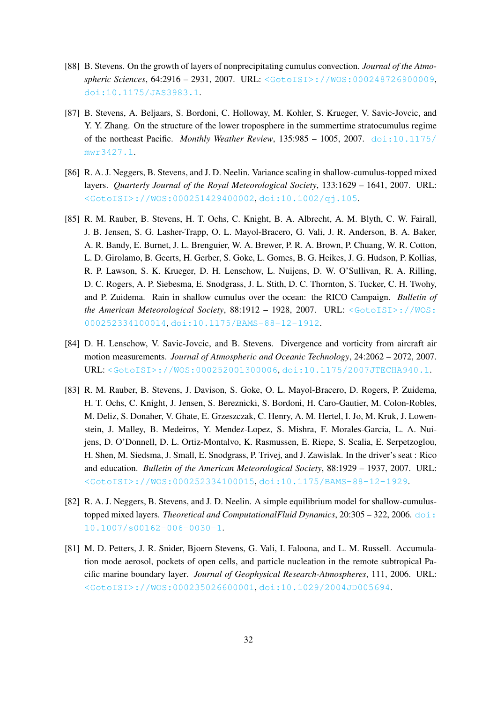- [88] B. Stevens. On the growth of layers of nonprecipitating cumulus convection. *Journal of the Atmospheric Sciences*, 64:2916 – 2931, 2007. URL: [<GotoISI>://WOS:000248726900009](<Go to ISI>://WOS:000248726900009), [doi:10.1175/JAS3983.1](https://doi.org/10.1175/JAS3983.1).
- [87] B. Stevens, A. Beljaars, S. Bordoni, C. Holloway, M. Kohler, S. Krueger, V. Savic-Jovcic, and Y. Y. Zhang. On the structure of the lower troposphere in the summertime stratocumulus regime of the northeast Pacific. *Monthly Weather Review*, 135:985 – 1005, 2007. [doi:10.1175/](https://doi.org/10.1175/mwr3427.1) [mwr3427.1](https://doi.org/10.1175/mwr3427.1).
- [86] R. A. J. Neggers, B. Stevens, and J. D. Neelin. Variance scaling in shallow-cumulus-topped mixed layers. *Quarterly Journal of the Royal Meteorological Society*, 133:1629 – 1641, 2007. URL: [<GotoISI>://WOS:000251429400002](<Go to ISI>://WOS:000251429400002), [doi:10.1002/qj.105](https://doi.org/10.1002/qj.105).
- [85] R. M. Rauber, B. Stevens, H. T. Ochs, C. Knight, B. A. Albrecht, A. M. Blyth, C. W. Fairall, J. B. Jensen, S. G. Lasher-Trapp, O. L. Mayol-Bracero, G. Vali, J. R. Anderson, B. A. Baker, A. R. Bandy, E. Burnet, J. L. Brenguier, W. A. Brewer, P. R. A. Brown, P. Chuang, W. R. Cotton, L. D. Girolamo, B. Geerts, H. Gerber, S. Goke, L. Gomes, B. G. Heikes, J. G. Hudson, P. Kollias, R. P. Lawson, S. K. Krueger, D. H. Lenschow, L. Nuijens, D. W. O'Sullivan, R. A. Rilling, D. C. Rogers, A. P. Siebesma, E. Snodgrass, J. L. Stith, D. C. Thornton, S. Tucker, C. H. Twohy, and P. Zuidema. Rain in shallow cumulus over the ocean: the RICO Campaign. *Bulletin of the American Meteorological Society*, 88:1912 – 1928, 2007. URL: [<GotoISI>://WOS:](<Go to ISI>://WOS:000252334100014) [000252334100014](<Go to ISI>://WOS:000252334100014), [doi:10.1175/BAMS-88-12-1912](https://doi.org/10.1175/BAMS-88-12-1912).
- [84] D. H. Lenschow, V. Savic-Jovcic, and B. Stevens. Divergence and vorticity from aircraft air motion measurements. *Journal of Atmospheric and Oceanic Technology*, 24:2062 – 2072, 2007. URL: [<GotoISI>://WOS:000252001300006](<Go to ISI>://WOS:000252001300006), [doi:10.1175/2007JTECHA940.1](https://doi.org/10.1175/2007JTECHA940.1).
- [83] R. M. Rauber, B. Stevens, J. Davison, S. Goke, O. L. Mayol-Bracero, D. Rogers, P. Zuidema, H. T. Ochs, C. Knight, J. Jensen, S. Bereznicki, S. Bordoni, H. Caro-Gautier, M. Colon-Robles, M. Deliz, S. Donaher, V. Ghate, E. Grzeszczak, C. Henry, A. M. Hertel, I. Jo, M. Kruk, J. Lowenstein, J. Malley, B. Medeiros, Y. Mendez-Lopez, S. Mishra, F. Morales-Garcia, L. A. Nuijens, D. O'Donnell, D. L. Ortiz-Montalvo, K. Rasmussen, E. Riepe, S. Scalia, E. Serpetzoglou, H. Shen, M. Siedsma, J. Small, E. Snodgrass, P. Trivej, and J. Zawislak. In the driver's seat : Rico and education. *Bulletin of the American Meteorological Society*, 88:1929 – 1937, 2007. URL: [<GotoISI>://WOS:000252334100015](<Go to ISI>://WOS:000252334100015), [doi:10.1175/BAMS-88-12-1929](https://doi.org/10.1175/BAMS-88-12-1929).
- [82] R. A. J. Neggers, B. Stevens, and J. D. Neelin. A simple equilibrium model for shallow-cumulustopped mixed layers. *Theoretical and ComputationalFluid Dynamics*, 20:305 – 322, 2006. [doi:](https://doi.org/10.1007/s00162-006-0030-1) [10.1007/s00162-006-0030-1](https://doi.org/10.1007/s00162-006-0030-1).
- [81] M. D. Petters, J. R. Snider, Bjoern Stevens, G. Vali, I. Faloona, and L. M. Russell. Accumulation mode aerosol, pockets of open cells, and particle nucleation in the remote subtropical Pacific marine boundary layer. *Journal of Geophysical Research-Atmospheres*, 111, 2006. URL: [<GotoISI>://WOS:000235026600001](<Go to ISI>://WOS:000235026600001), [doi:10.1029/2004JD005694](https://doi.org/10.1029/2004JD005694).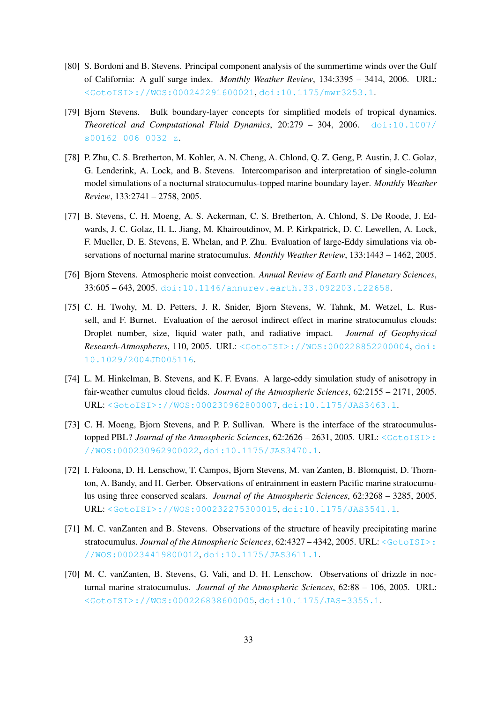- [80] S. Bordoni and B. Stevens. Principal component analysis of the summertime winds over the Gulf of California: A gulf surge index. *Monthly Weather Review*, 134:3395 – 3414, 2006. URL: [<GotoISI>://WOS:000242291600021](<Go to ISI>://WOS:000242291600021), [doi:10.1175/mwr3253.1](https://doi.org/10.1175/mwr3253.1).
- [79] Bjorn Stevens. Bulk boundary-layer concepts for simplified models of tropical dynamics. *Theoretical and Computational Fluid Dynamics*, 20:279 – 304, 2006. [doi:10.1007/](https://doi.org/10.1007/s00162-006-0032-z) [s00162-006-0032-z](https://doi.org/10.1007/s00162-006-0032-z).
- [78] P. Zhu, C. S. Bretherton, M. Kohler, A. N. Cheng, A. Chlond, Q. Z. Geng, P. Austin, J. C. Golaz, G. Lenderink, A. Lock, and B. Stevens. Intercomparison and interpretation of single-column model simulations of a nocturnal stratocumulus-topped marine boundary layer. *Monthly Weather Review*, 133:2741 – 2758, 2005.
- [77] B. Stevens, C. H. Moeng, A. S. Ackerman, C. S. Bretherton, A. Chlond, S. De Roode, J. Edwards, J. C. Golaz, H. L. Jiang, M. Khairoutdinov, M. P. Kirkpatrick, D. C. Lewellen, A. Lock, F. Mueller, D. E. Stevens, E. Whelan, and P. Zhu. Evaluation of large-Eddy simulations via observations of nocturnal marine stratocumulus. *Monthly Weather Review*, 133:1443 – 1462, 2005.
- [76] Bjorn Stevens. Atmospheric moist convection. *Annual Review of Earth and Planetary Sciences*, 33:605 – 643, 2005. [doi:10.1146/annurev.earth.33.092203.122658](https://doi.org/10.1146/annurev.earth.33.092203.122658).
- [75] C. H. Twohy, M. D. Petters, J. R. Snider, Bjorn Stevens, W. Tahnk, M. Wetzel, L. Russell, and F. Burnet. Evaluation of the aerosol indirect effect in marine stratocumulus clouds: Droplet number, size, liquid water path, and radiative impact. *Journal of Geophysical Research-Atmospheres*, 110, 2005. URL: [<GotoISI>://WOS:000228852200004](<Go to ISI>://WOS:000228852200004), [doi:](https://doi.org/10.1029/2004JD005116) [10.1029/2004JD005116](https://doi.org/10.1029/2004JD005116).
- [74] L. M. Hinkelman, B. Stevens, and K. F. Evans. A large-eddy simulation study of anisotropy in fair-weather cumulus cloud fields. *Journal of the Atmospheric Sciences*, 62:2155 – 2171, 2005. URL: [<GotoISI>://WOS:000230962800007](<Go to ISI>://WOS:000230962800007), [doi:10.1175/JAS3463.1](https://doi.org/10.1175/JAS3463.1).
- [73] C. H. Moeng, Bjorn Stevens, and P. P. Sullivan. Where is the interface of the stratocumulustopped PBL? *Journal of the Atmospheric Sciences*, 62:2626 – 2631, 2005. URL: [<GotoISI>:](<Go to ISI>://WOS:000230962900022) [//WOS:000230962900022](<Go to ISI>://WOS:000230962900022), [doi:10.1175/JAS3470.1](https://doi.org/10.1175/JAS3470.1).
- [72] I. Faloona, D. H. Lenschow, T. Campos, Bjorn Stevens, M. van Zanten, B. Blomquist, D. Thornton, A. Bandy, and H. Gerber. Observations of entrainment in eastern Pacific marine stratocumulus using three conserved scalars. *Journal of the Atmospheric Sciences*, 62:3268 – 3285, 2005. URL: [<GotoISI>://WOS:000232275300015](<Go to ISI>://WOS:000232275300015), [doi:10.1175/JAS3541.1](https://doi.org/10.1175/JAS3541.1).
- [71] M. C. vanZanten and B. Stevens. Observations of the structure of heavily precipitating marine stratocumulus. *Journal of the Atmospheric Sciences*, 62:4327 – 4342, 2005. URL: [<GotoISI>:](<Go to ISI>://WOS:000234419800012) [//WOS:000234419800012](<Go to ISI>://WOS:000234419800012), [doi:10.1175/JAS3611.1](https://doi.org/10.1175/JAS3611.1).
- [70] M. C. vanZanten, B. Stevens, G. Vali, and D. H. Lenschow. Observations of drizzle in nocturnal marine stratocumulus. *Journal of the Atmospheric Sciences*, 62:88 – 106, 2005. URL: [<GotoISI>://WOS:000226838600005](<Go to ISI>://WOS:000226838600005), [doi:10.1175/JAS-3355.1](https://doi.org/10.1175/JAS-3355.1).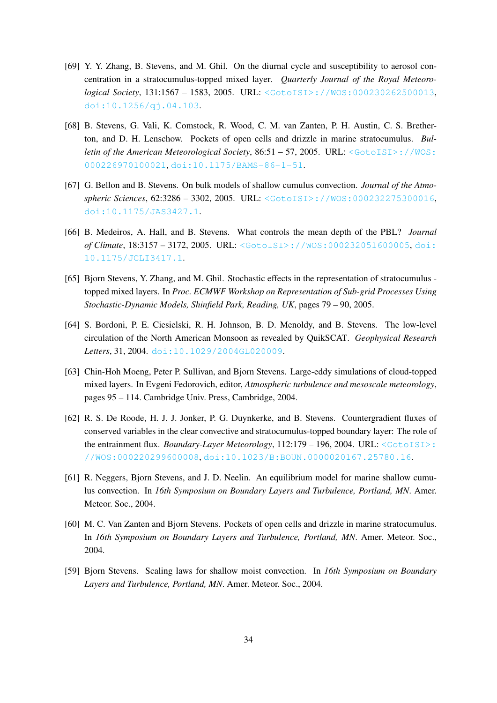- [69] Y. Y. Zhang, B. Stevens, and M. Ghil. On the diurnal cycle and susceptibility to aerosol concentration in a stratocumulus-topped mixed layer. *Quarterly Journal of the Royal Meteorological Society*, 131:1567 – 1583, 2005. URL: [<GotoISI>://WOS:000230262500013](<Go to ISI>://WOS:000230262500013), [doi:10.1256/qj.04.103](https://doi.org/10.1256/qj.04.103).
- [68] B. Stevens, G. Vali, K. Comstock, R. Wood, C. M. van Zanten, P. H. Austin, C. S. Bretherton, and D. H. Lenschow. Pockets of open cells and drizzle in marine stratocumulus. *Bulletin of the American Meteorological Society*, 86:51 – 57, 2005. URL: [<GotoISI>://WOS:](<Go to ISI>://WOS:000226970100021) [000226970100021](<Go to ISI>://WOS:000226970100021), [doi:10.1175/BAMS-86-1-51](https://doi.org/10.1175/BAMS-86-1-51).
- [67] G. Bellon and B. Stevens. On bulk models of shallow cumulus convection. *Journal of the Atmospheric Sciences*, 62:3286 – 3302, 2005. URL: [<GotoISI>://WOS:000232275300016](<Go to ISI>://WOS:000232275300016), [doi:10.1175/JAS3427.1](https://doi.org/10.1175/JAS3427.1).
- [66] B. Medeiros, A. Hall, and B. Stevens. What controls the mean depth of the PBL? *Journal of Climate*, 18:3157 – 3172, 2005. URL: [<GotoISI>://WOS:000232051600005](<Go to ISI>://WOS:000232051600005), [doi:](https://doi.org/10.1175/JCLI3417.1) [10.1175/JCLI3417.1](https://doi.org/10.1175/JCLI3417.1).
- [65] Bjorn Stevens, Y. Zhang, and M. Ghil. Stochastic effects in the representation of stratocumulus topped mixed layers. In *Proc. ECMWF Workshop on Representation of Sub-grid Processes Using Stochastic-Dynamic Models, Shinfield Park, Reading, UK*, pages 79 – 90, 2005.
- [64] S. Bordoni, P. E. Ciesielski, R. H. Johnson, B. D. Menoldy, and B. Stevens. The low-level circulation of the North American Monsoon as revealed by QuikSCAT. *Geophysical Research Letters*, 31, 2004. [doi:10.1029/2004GL020009](https://doi.org/10.1029/2004GL020009).
- [63] Chin-Hoh Moeng, Peter P. Sullivan, and Bjorn Stevens. Large-eddy simulations of cloud-topped mixed layers. In Evgeni Fedorovich, editor, *Atmospheric turbulence and mesoscale meteorology*, pages 95 – 114. Cambridge Univ. Press, Cambridge, 2004.
- [62] R. S. De Roode, H. J. J. Jonker, P. G. Duynkerke, and B. Stevens. Countergradient fluxes of conserved variables in the clear convective and stratocumulus-topped boundary layer: The role of the entrainment flux. *Boundary-Layer Meteorology*,  $112:179 - 196$ , 2004. URL: [<GotoISI>:](<Go to ISI>://WOS:000220299600008) [//WOS:000220299600008](<Go to ISI>://WOS:000220299600008), [doi:10.1023/B:BOUN.0000020167.25780.16](https://doi.org/10.1023/B:BOUN.0000020167.25780.16).
- [61] R. Neggers, Bjorn Stevens, and J. D. Neelin. An equilibrium model for marine shallow cumulus convection. In *16th Symposium on Boundary Layers and Turbulence, Portland, MN*. Amer. Meteor. Soc., 2004.
- [60] M. C. Van Zanten and Bjorn Stevens. Pockets of open cells and drizzle in marine stratocumulus. In *16th Symposium on Boundary Layers and Turbulence, Portland, MN*. Amer. Meteor. Soc., 2004.
- [59] Bjorn Stevens. Scaling laws for shallow moist convection. In *16th Symposium on Boundary Layers and Turbulence, Portland, MN*. Amer. Meteor. Soc., 2004.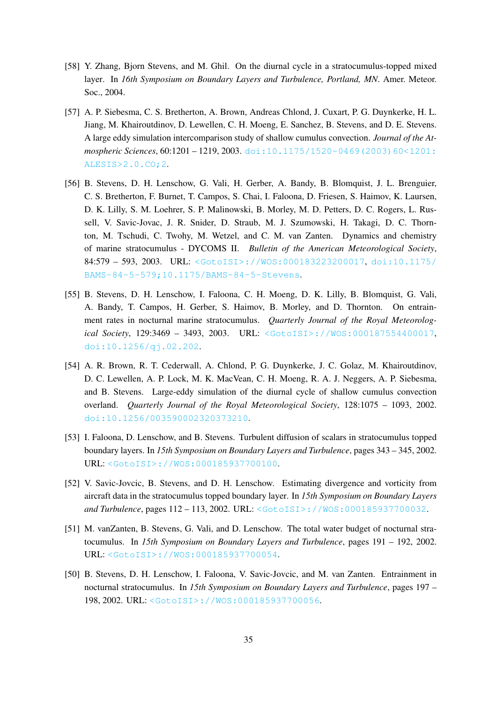- [58] Y. Zhang, Bjorn Stevens, and M. Ghil. On the diurnal cycle in a stratocumulus-topped mixed layer. In *16th Symposium on Boundary Layers and Turbulence, Portland, MN*. Amer. Meteor. Soc., 2004.
- [57] A. P. Siebesma, C. S. Bretherton, A. Brown, Andreas Chlond, J. Cuxart, P. G. Duynkerke, H. L. Jiang, M. Khairoutdinov, D. Lewellen, C. H. Moeng, E. Sanchez, B. Stevens, and D. E. Stevens. A large eddy simulation intercomparison study of shallow cumulus convection. *Journal of the Atmospheric Sciences*, 60:1201 – 1219, 2003. [doi:10.1175/1520-0469\(2003\)60<1201:](https://doi.org/10.1175/1520-0469(2003)60<1201:ALESIS>2.0.CO;2) [ALESIS>2.0.CO;2](https://doi.org/10.1175/1520-0469(2003)60<1201:ALESIS>2.0.CO;2).
- [56] B. Stevens, D. H. Lenschow, G. Vali, H. Gerber, A. Bandy, B. Blomquist, J. L. Brenguier, C. S. Bretherton, F. Burnet, T. Campos, S. Chai, I. Faloona, D. Friesen, S. Haimov, K. Laursen, D. K. Lilly, S. M. Loehrer, S. P. Malinowski, B. Morley, M. D. Petters, D. C. Rogers, L. Russell, V. Savic-Jovac, J. R. Snider, D. Straub, M. J. Szumowski, H. Takagi, D. C. Thornton, M. Tschudi, C. Twohy, M. Wetzel, and C. M. van Zanten. Dynamics and chemistry of marine stratocumulus - DYCOMS II. *Bulletin of the American Meteorological Society*, 84:579 – 593, 2003. URL: [<GotoISI>://WOS:000183223200017](<Go to ISI>://WOS:000183223200017), [doi:10.1175/](https://doi.org/10.1175/BAMS-84-5-579; 10.1175/BAMS-84-5-Stevens) [BAMS-84-5-579;10.1175/BAMS-84-5-Stevens](https://doi.org/10.1175/BAMS-84-5-579; 10.1175/BAMS-84-5-Stevens).
- [55] B. Stevens, D. H. Lenschow, I. Faloona, C. H. Moeng, D. K. Lilly, B. Blomquist, G. Vali, A. Bandy, T. Campos, H. Gerber, S. Haimov, B. Morley, and D. Thornton. On entrainment rates in nocturnal marine stratocumulus. *Quarterly Journal of the Royal Meteorological Society*, 129:3469 – 3493, 2003. URL: [<GotoISI>://WOS:000187554400017](<Go to ISI>://WOS:000187554400017), [doi:10.1256/qj.02.202](https://doi.org/10.1256/qj.02.202).
- [54] A. R. Brown, R. T. Cederwall, A. Chlond, P. G. Duynkerke, J. C. Golaz, M. Khairoutdinov, D. C. Lewellen, A. P. Lock, M. K. MacVean, C. H. Moeng, R. A. J. Neggers, A. P. Siebesma, and B. Stevens. Large-eddy simulation of the diurnal cycle of shallow cumulus convection overland. *Quarterly Journal of the Royal Meteorological Society*, 128:1075 – 1093, 2002. [doi:10.1256/003590002320373210](https://doi.org/10.1256/003590002320373210).
- [53] I. Faloona, D. Lenschow, and B. Stevens. Turbulent diffusion of scalars in stratocumulus topped boundary layers. In *15th Symposium on Boundary Layers and Turbulence*, pages 343 – 345, 2002. URL: [<GotoISI>://WOS:000185937700100](<Go to ISI>://WOS:000185937700100).
- [52] V. Savic-Jovcic, B. Stevens, and D. H. Lenschow. Estimating divergence and vorticity from aircraft data in the stratocumulus topped boundary layer. In *15th Symposium on Boundary Layers and Turbulence*, pages 112 – 113, 2002. URL: [<GotoISI>://WOS:000185937700032](<Go to ISI>://WOS:000185937700032).
- [51] M. vanZanten, B. Stevens, G. Vali, and D. Lenschow. The total water budget of nocturnal stratocumulus. In *15th Symposium on Boundary Layers and Turbulence*, pages 191 – 192, 2002. URL: [<GotoISI>://WOS:000185937700054](<Go to ISI>://WOS:000185937700054).
- [50] B. Stevens, D. H. Lenschow, I. Faloona, V. Savic-Jovcic, and M. van Zanten. Entrainment in nocturnal stratocumulus. In *15th Symposium on Boundary Layers and Turbulence*, pages 197 – 198, 2002. URL: [<GotoISI>://WOS:000185937700056](<Go to ISI>://WOS:000185937700056).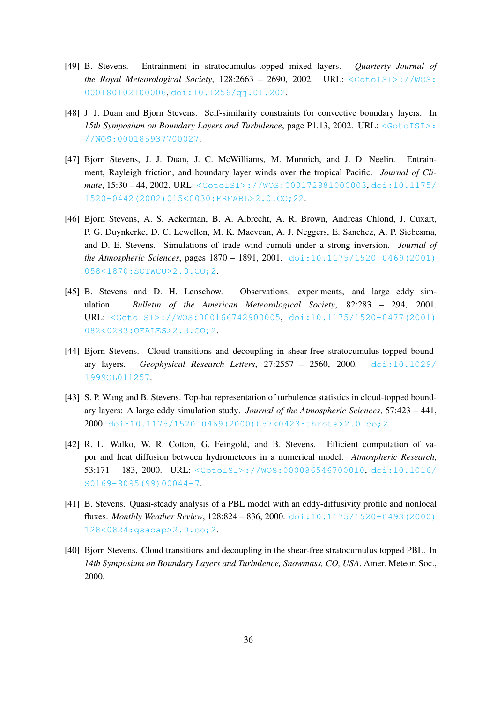- [49] B. Stevens. Entrainment in stratocumulus-topped mixed layers. *Quarterly Journal of the Royal Meteorological Society*,  $128:2663 - 2690$ ,  $2002$ . URL:  $\leq G \circ \text{toISI}$ ://WOS: [000180102100006](<Go to ISI>://WOS:000180102100006), [doi:10.1256/qj.01.202](https://doi.org/10.1256/qj.01.202).
- [48] J. J. Duan and Bjorn Stevens. Self-similarity constraints for convective boundary layers. In **15th Symposium on Boundary Layers and Turbulence, page P1.13, 2002. URL: [<GotoISI>:](<Go to ISI>://WOS:000185937700027)** [//WOS:000185937700027](<Go to ISI>://WOS:000185937700027).
- [47] Bjorn Stevens, J. J. Duan, J. C. McWilliams, M. Munnich, and J. D. Neelin. Entrainment, Rayleigh friction, and boundary layer winds over the tropical Pacific. *Journal of Climate*, 15:30 – 44, 2002. URL: [<GotoISI>://WOS:000172881000003](<Go to ISI>://WOS:000172881000003), [doi:10.1175/](https://doi.org/10.1175/1520-0442(2002)015<0030:ERFABL>2.0.CO;22) [1520-0442\(2002\)015<0030:ERFABL>2.0.CO;22](https://doi.org/10.1175/1520-0442(2002)015<0030:ERFABL>2.0.CO;22).
- [46] Bjorn Stevens, A. S. Ackerman, B. A. Albrecht, A. R. Brown, Andreas Chlond, J. Cuxart, P. G. Duynkerke, D. C. Lewellen, M. K. Macvean, A. J. Neggers, E. Sanchez, A. P. Siebesma, and D. E. Stevens. Simulations of trade wind cumuli under a strong inversion. *Journal of the Atmospheric Sciences*, pages 1870 – 1891, 2001. [doi:10.1175/1520-0469\(2001\)](https://doi.org/10.1175/1520-0469(2001)058<1870:SOTWCU>2.0.CO;2) [058<1870:SOTWCU>2.0.CO;2](https://doi.org/10.1175/1520-0469(2001)058<1870:SOTWCU>2.0.CO;2).
- [45] B. Stevens and D. H. Lenschow. Observations, experiments, and large eddy simulation. *Bulletin of the American Meteorological Society*, 82:283 – 294, 2001. URL: [<GotoISI>://WOS:000166742900005](<Go to ISI>://WOS:000166742900005), [doi:10.1175/1520-0477\(2001\)](https://doi.org/10.1175/1520-0477(2001)082<0283:OEALES>2.3.CO;2) [082<0283:OEALES>2.3.CO;2](https://doi.org/10.1175/1520-0477(2001)082<0283:OEALES>2.3.CO;2).
- [44] Bjorn Stevens. Cloud transitions and decoupling in shear-free stratocumulus-topped boundary layers. *Geophysical Research Letters*, 27:2557 – 2560, 2000. [doi:10.1029/](https://doi.org/10.1029/1999GL011257) [1999GL011257](https://doi.org/10.1029/1999GL011257).
- [43] S. P. Wang and B. Stevens. Top-hat representation of turbulence statistics in cloud-topped boundary layers: A large eddy simulation study. *Journal of the Atmospheric Sciences*, 57:423 – 441, 2000. [doi:10.1175/1520-0469\(2000\)057<0423:throts>2.0.co;2](https://doi.org/10.1175/1520-0469(2000)057<0423:throts>2.0.co;2).
- [42] R. L. Walko, W. R. Cotton, G. Feingold, and B. Stevens. Efficient computation of vapor and heat diffusion between hydrometeors in a numerical model. *Atmospheric Research*, 53:171 – 183, 2000. URL: [<GotoISI>://WOS:000086546700010](<Go to ISI>://WOS:000086546700010), [doi:10.1016/](https://doi.org/10.1016/S0169-8095(99)00044-7) [S0169-8095\(99\)00044-7](https://doi.org/10.1016/S0169-8095(99)00044-7).
- [41] B. Stevens. Quasi-steady analysis of a PBL model with an eddy-diffusivity profile and nonlocal fluxes. *Monthly Weather Review*, 128:824 – 836, 2000. [doi:10.1175/1520-0493\(2000\)](https://doi.org/10.1175/1520-0493(2000)128<0824:qsaoap>2.0.co;2) [128<0824:qsaoap>2.0.co;2](https://doi.org/10.1175/1520-0493(2000)128<0824:qsaoap>2.0.co;2).
- [40] Bjorn Stevens. Cloud transitions and decoupling in the shear-free stratocumulus topped PBL. In *14th Symposium on Boundary Layers and Turbulence, Snowmass, CO, USA*. Amer. Meteor. Soc., 2000.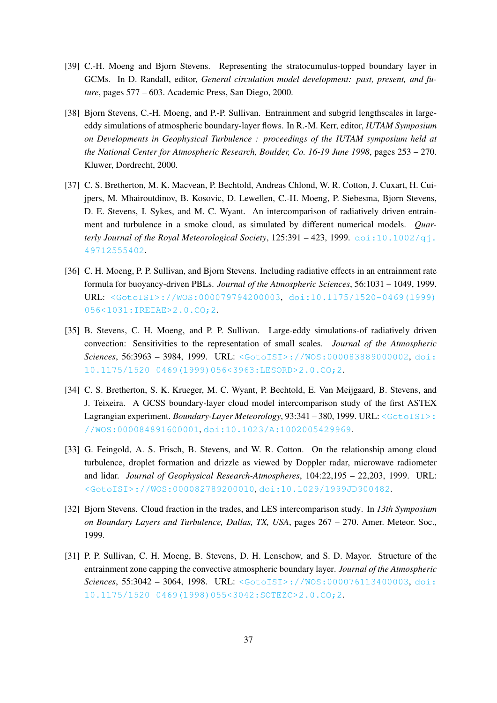- [39] C.-H. Moeng and Bjorn Stevens. Representing the stratocumulus-topped boundary layer in GCMs. In D. Randall, editor, *General circulation model development: past, present, and future*, pages 577 – 603. Academic Press, San Diego, 2000.
- [38] Bjorn Stevens, C.-H. Moeng, and P.-P. Sullivan. Entrainment and subgrid lengthscales in largeeddy simulations of atmospheric boundary-layer flows. In R.-M. Kerr, editor, *IUTAM Symposium on Developments in Geophysical Turbulence : proceedings of the IUTAM symposium held at the National Center for Atmospheric Research, Boulder, Co. 16-19 June 1998*, pages 253 – 270. Kluwer, Dordrecht, 2000.
- [37] C. S. Bretherton, M. K. Macvean, P. Bechtold, Andreas Chlond, W. R. Cotton, J. Cuxart, H. Cuijpers, M. Mhairoutdinov, B. Kosovic, D. Lewellen, C.-H. Moeng, P. Siebesma, Bjorn Stevens, D. E. Stevens, I. Sykes, and M. C. Wyant. An intercomparison of radiatively driven entrainment and turbulence in a smoke cloud, as simulated by different numerical models. *Quarterly Journal of the Royal Meteorological Society*,  $125:391 - 423$ ,  $1999$ . doi: $10.1002/q$ j. [49712555402](https://doi.org/10.1002/qj.49712555402).
- [36] C. H. Moeng, P. P. Sullivan, and Bjorn Stevens. Including radiative effects in an entrainment rate formula for buoyancy-driven PBLs. *Journal of the Atmospheric Sciences*, 56:1031 – 1049, 1999. URL: [<GotoISI>://WOS:000079794200003](<Go to ISI>://WOS:000079794200003), [doi:10.1175/1520-0469\(1999\)](https://doi.org/10.1175/1520-0469(1999)056<1031:IREIAE>2.0.CO;2) [056<1031:IREIAE>2.0.CO;2](https://doi.org/10.1175/1520-0469(1999)056<1031:IREIAE>2.0.CO;2).
- [35] B. Stevens, C. H. Moeng, and P. P. Sullivan. Large-eddy simulations-of radiatively driven convection: Sensitivities to the representation of small scales. *Journal of the Atmospheric Sciences*, 56:3963 – 3984, 1999. URL: [<GotoISI>://WOS:000083889000002](<Go to ISI>://WOS:000083889000002), [doi:](https://doi.org/10.1175/1520-0469(1999)056<3963:LESORD>2.0.CO;2) [10.1175/1520-0469\(1999\)056<3963:LESORD>2.0.CO;2](https://doi.org/10.1175/1520-0469(1999)056<3963:LESORD>2.0.CO;2).
- [34] C. S. Bretherton, S. K. Krueger, M. C. Wyant, P. Bechtold, E. Van Meijgaard, B. Stevens, and J. Teixeira. A GCSS boundary-layer cloud model intercomparison study of the first ASTEX Lagrangian experiment. *Boundary-Layer Meteorology*, 93:341 – 380, 1999. URL: [<GotoISI>:](<Go to ISI>://WOS:000084891600001) [//WOS:000084891600001](<Go to ISI>://WOS:000084891600001), [doi:10.1023/A:1002005429969](https://doi.org/10.1023/A:1002005429969).
- [33] G. Feingold, A. S. Frisch, B. Stevens, and W. R. Cotton. On the relationship among cloud turbulence, droplet formation and drizzle as viewed by Doppler radar, microwave radiometer and lidar. *Journal of Geophysical Research-Atmospheres*, 104:22,195 – 22,203, 1999. URL: [<GotoISI>://WOS:000082789200010](<Go to ISI>://WOS:000082789200010), [doi:10.1029/1999JD900482](https://doi.org/10.1029/1999JD900482).
- [32] Bjorn Stevens. Cloud fraction in the trades, and LES intercomparison study. In *13th Symposium on Boundary Layers and Turbulence, Dallas, TX, USA*, pages 267 – 270. Amer. Meteor. Soc., 1999.
- [31] P. P. Sullivan, C. H. Moeng, B. Stevens, D. H. Lenschow, and S. D. Mayor. Structure of the entrainment zone capping the convective atmospheric boundary layer. *Journal of the Atmospheric Sciences*, 55:3042 – 3064, 1998. URL: [<GotoISI>://WOS:000076113400003](<Go to ISI>://WOS:000076113400003), [doi:](https://doi.org/10.1175/1520-0469(1998)055<3042:SOTEZC>2.0.CO;2) [10.1175/1520-0469\(1998\)055<3042:SOTEZC>2.0.CO;2](https://doi.org/10.1175/1520-0469(1998)055<3042:SOTEZC>2.0.CO;2).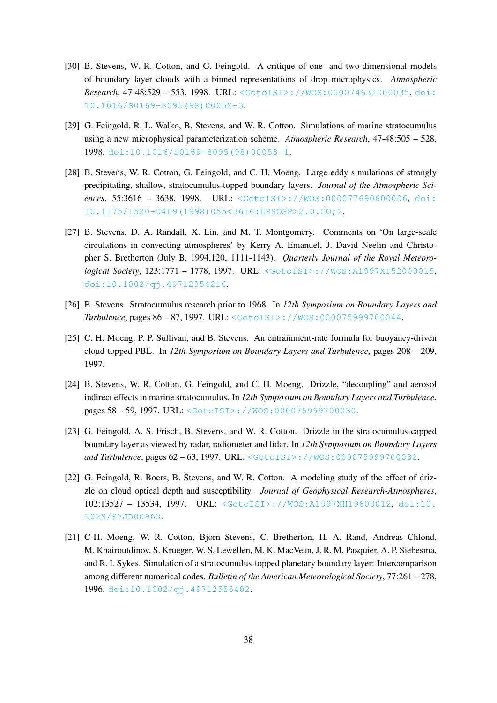- [30] B. Stevens, W. R. Cotton, and G. Feingold. A critique of one- and two-dimensional models of boundary layer clouds with a binned representations of drop microphysics. *Atmospheric Research*, 47-48:529 – 553, 1998. URL: [<GotoISI>://WOS:000074631000035](<Go to ISI>://WOS:000074631000035), [doi:](https://doi.org/10.1016/S0169-8095(98)00059-3) [10.1016/S0169-8095\(98\)00059-3](https://doi.org/10.1016/S0169-8095(98)00059-3).
- [29] G. Feingold, R. L. Walko, B. Stevens, and W. R. Cotton. Simulations of marine stratocumulus using a new microphysical parameterization scheme. *Atmospheric Research*, 47-48:505 – 528, 1998. [doi:10.1016/S0169-8095\(98\)00058-1](https://doi.org/10.1016/S0169-8095(98)00058-1).
- [28] B. Stevens, W. R. Cotton, G. Feingold, and C. H. Moeng. Large-eddy simulations of strongly precipitating, shallow, stratocumulus-topped boundary layers. *Journal of the Atmospheric Sciences*, 55:3616 – 3638, 1998. URL: [<GotoISI>://WOS:000077690600006](<Go to ISI>://WOS:000077690600006), [doi:](https://doi.org/10.1175/1520-0469(1998)055<3616:LESOSP>2.0.CO;2) [10.1175/1520-0469\(1998\)055<3616:LESOSP>2.0.CO;2](https://doi.org/10.1175/1520-0469(1998)055<3616:LESOSP>2.0.CO;2).
- [27] B. Stevens, D. A. Randall, X. Lin, and M. T. Montgomery. Comments on 'On large-scale circulations in convecting atmospheres' by Kerry A. Emanuel, J. David Neelin and Christopher S. Bretherton (July B, 1994,120, 1111-1143). *Quarterly Journal of the Royal Meteorological Society*, 123:1771 – 1778, 1997. URL: [<GotoISI>://WOS:A1997XT52000015](<Go to ISI>://WOS:A1997XT52000015), [doi:10.1002/qj.49712354216](https://doi.org/10.1002/qj.49712354216).
- [26] B. Stevens. Stratocumulus research prior to 1968. In *12th Symposium on Boundary Layers and Turbulence*, pages 86 – 87, 1997. URL: [<GotoISI>://WOS:000075999700044](<Go to ISI>://WOS:000075999700044).
- [25] C. H. Moeng, P. P. Sullivan, and B. Stevens. An entrainment-rate formula for buoyancy-driven cloud-topped PBL. In *12th Symposium on Boundary Layers and Turbulence*, pages 208 – 209, 1997.
- [24] B. Stevens, W. R. Cotton, G. Feingold, and C. H. Moeng. Drizzle, "decoupling" and aerosol indirect effects in marine stratocumulus. In *12th Symposium on Boundary Layers and Turbulence*, pages 58 – 59, 1997. URL: [<GotoISI>://WOS:000075999700030](<Go to ISI>://WOS:000075999700030).
- [23] G. Feingold, A. S. Frisch, B. Stevens, and W. R. Cotton. Drizzle in the stratocumulus-capped boundary layer as viewed by radar, radiometer and lidar. In *12th Symposium on Boundary Layers and Turbulence*, pages 62 – 63, 1997. URL: [<GotoISI>://WOS:000075999700032](<Go to ISI>://WOS:000075999700032).
- [22] G. Feingold, R. Boers, B. Stevens, and W. R. Cotton. A modeling study of the effect of drizzle on cloud optical depth and susceptibility. *Journal of Geophysical Research-Atmospheres*, 102:13527 – 13534, 1997. URL: [<GotoISI>://WOS:A1997XH19600012](<Go to ISI>://WOS:A1997XH19600012), [doi:10.](https://doi.org/10.1029/97JD00963) [1029/97JD00963](https://doi.org/10.1029/97JD00963).
- [21] C-H. Moeng, W. R. Cotton, Bjorn Stevens, C. Bretherton, H. A. Rand, Andreas Chlond, M. Khairoutdinov, S. Krueger, W. S. Lewellen, M. K. MacVean, J. R. M. Pasquier, A. P. Siebesma, and R. I. Sykes. Simulation of a stratocumulus-topped planetary boundary layer: Intercomparison among different numerical codes. *Bulletin of the American Meteorological Society*, 77:261 – 278, 1996. [doi:10.1002/qj.49712555402](https://doi.org/10.1002/qj.49712555402).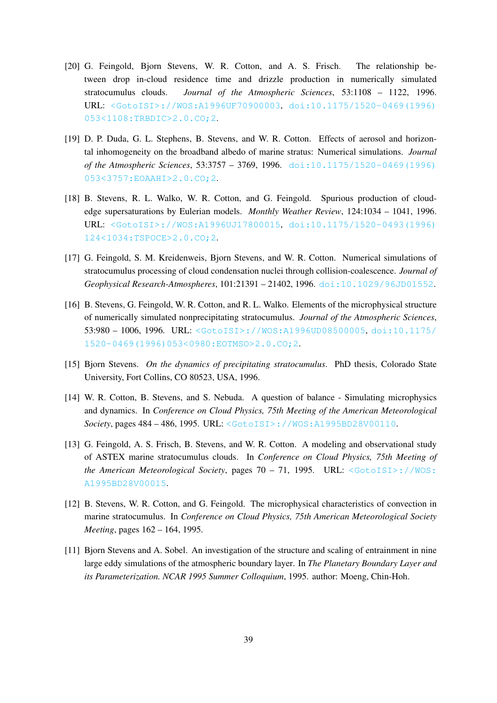- [20] G. Feingold, Bjorn Stevens, W. R. Cotton, and A. S. Frisch. The relationship between drop in-cloud residence time and drizzle production in numerically simulated stratocumulus clouds. *Journal of the Atmospheric Sciences*, 53:1108 – 1122, 1996. URL: [<GotoISI>://WOS:A1996UF70900003](<Go to ISI>://WOS:A1996UF70900003), [doi:10.1175/1520-0469\(1996\)](https://doi.org/10.1175/1520-0469(1996)053<1108:TRBDIC>2.0.CO;2) [053<1108:TRBDIC>2.0.CO;2](https://doi.org/10.1175/1520-0469(1996)053<1108:TRBDIC>2.0.CO;2).
- [19] D. P. Duda, G. L. Stephens, B. Stevens, and W. R. Cotton. Effects of aerosol and horizontal inhomogeneity on the broadband albedo of marine stratus: Numerical simulations. *Journal of the Atmospheric Sciences*, 53:3757 – 3769, 1996. [doi:10.1175/1520-0469\(1996\)](https://doi.org/10.1175/1520-0469(1996)053<3757:EOAAHI>2.0.CO;2) [053<3757:EOAAHI>2.0.CO;2](https://doi.org/10.1175/1520-0469(1996)053<3757:EOAAHI>2.0.CO;2).
- [18] B. Stevens, R. L. Walko, W. R. Cotton, and G. Feingold. Spurious production of cloudedge supersaturations by Eulerian models. *Monthly Weather Review*, 124:1034 – 1041, 1996. URL: [<GotoISI>://WOS:A1996UJ17800015](<Go to ISI>://WOS:A1996UJ17800015), [doi:10.1175/1520-0493\(1996\)](https://doi.org/10.1175/1520-0493(1996)124<1034:TSPOCE>2.0.CO;2) [124<1034:TSPOCE>2.0.CO;2](https://doi.org/10.1175/1520-0493(1996)124<1034:TSPOCE>2.0.CO;2).
- [17] G. Feingold, S. M. Kreidenweis, Bjorn Stevens, and W. R. Cotton. Numerical simulations of stratocumulus processing of cloud condensation nuclei through collision-coalescence. *Journal of Geophysical Research-Atmospheres*, 101:21391 – 21402, 1996. [doi:10.1029/96JD01552](https://doi.org/10.1029/96JD01552).
- [16] B. Stevens, G. Feingold, W. R. Cotton, and R. L. Walko. Elements of the microphysical structure of numerically simulated nonprecipitating stratocumulus. *Journal of the Atmospheric Sciences*, 53:980 – 1006, 1996. URL: [<GotoISI>://WOS:A1996UD08500005](<Go to ISI>://WOS:A1996UD08500005), [doi:10.1175/](https://doi.org/10.1175/1520-0469(1996)053<0980:EOTMSO>2.0.CO;2) [1520-0469\(1996\)053<0980:EOTMSO>2.0.CO;2](https://doi.org/10.1175/1520-0469(1996)053<0980:EOTMSO>2.0.CO;2).
- [15] Bjorn Stevens. *On the dynamics of precipitating stratocumulus*. PhD thesis, Colorado State University, Fort Collins, CO 80523, USA, 1996.
- [14] W. R. Cotton, B. Stevens, and S. Nebuda. A question of balance Simulating microphysics and dynamics. In *Conference on Cloud Physics, 75th Meeting of the American Meteorological Society*, pages 484 – 486, 1995. URL: [<GotoISI>://WOS:A1995BD28V00110](<Go to ISI>://WOS:A1995BD28V00110).
- [13] G. Feingold, A. S. Frisch, B. Stevens, and W. R. Cotton. A modeling and observational study of ASTEX marine stratocumulus clouds. In *Conference on Cloud Physics, 75th Meeting of the American Meteorological Society*, pages  $70 - 71$ , 1995. URL:  $\leq$  GotoISI>://WOS: [A1995BD28V00015](<Go to ISI>://WOS:A1995BD28V00015).
- [12] B. Stevens, W. R. Cotton, and G. Feingold. The microphysical characteristics of convection in marine stratocumulus. In *Conference on Cloud Physics, 75th American Meteorological Society Meeting*, pages 162 – 164, 1995.
- [11] Bjorn Stevens and A. Sobel. An investigation of the structure and scaling of entrainment in nine large eddy simulations of the atmospheric boundary layer. In *The Planetary Boundary Layer and its Parameterization. NCAR 1995 Summer Colloquium*, 1995. author: Moeng, Chin-Hoh.